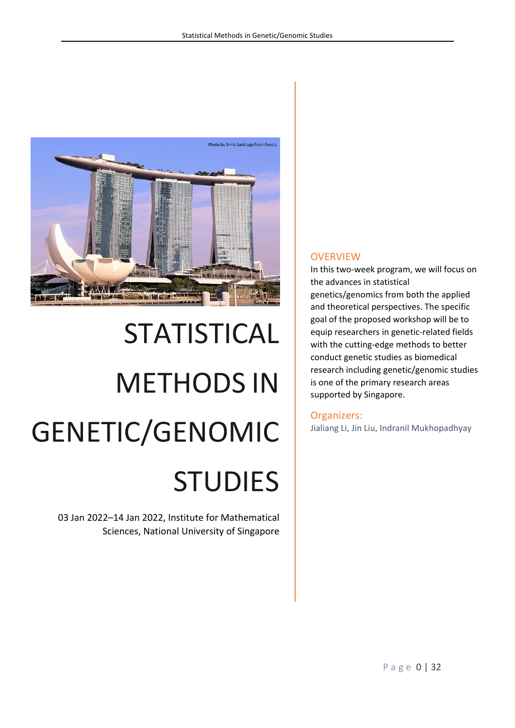

# STATISTICAL METHODS IN GENETIC/GENOMIC STUDIES

03 Jan 2022–14 Jan 2022, Institute for Mathematical Sciences, National University of Singapore

### **OVERVIEW**

In this two-week program, we will focus on the advances in statistical genetics/genomics from both the applied and theoretical perspectives. The specific goal of the proposed workshop will be to equip researchers in genetic-related fields with the cutting-edge methods to better conduct genetic studies as biomedical research including genetic/genomic studies is one of the primary research areas supported by Singapore.

### Organizers:

Jialiang Li, Jin Liu, Indranil Mukhopadhyay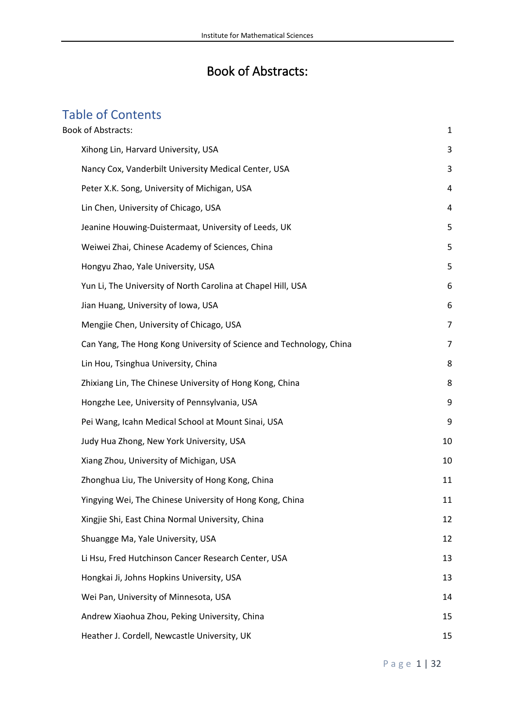## Book of Abstracts:

# <span id="page-1-0"></span>Table of Contents

| <b>Book of Abstracts:</b>                                           | 1  |
|---------------------------------------------------------------------|----|
| Xihong Lin, Harvard University, USA                                 | 3  |
| Nancy Cox, Vanderbilt University Medical Center, USA                | 3  |
| Peter X.K. Song, University of Michigan, USA                        | 4  |
| Lin Chen, University of Chicago, USA                                | 4  |
| Jeanine Houwing-Duistermaat, University of Leeds, UK                | 5  |
| Weiwei Zhai, Chinese Academy of Sciences, China                     | 5  |
| Hongyu Zhao, Yale University, USA                                   | 5  |
| Yun Li, The University of North Carolina at Chapel Hill, USA        | 6  |
| Jian Huang, University of Iowa, USA                                 | 6  |
| Mengjie Chen, University of Chicago, USA                            | 7  |
| Can Yang, The Hong Kong University of Science and Technology, China | 7  |
| Lin Hou, Tsinghua University, China                                 | 8  |
| Zhixiang Lin, The Chinese University of Hong Kong, China            | 8  |
| Hongzhe Lee, University of Pennsylvania, USA                        | 9  |
| Pei Wang, Icahn Medical School at Mount Sinai, USA                  | 9  |
| Judy Hua Zhong, New York University, USA                            | 10 |
| Xiang Zhou, University of Michigan, USA                             | 10 |
| Zhonghua Liu, The University of Hong Kong, China                    | 11 |
| Yingying Wei, The Chinese University of Hong Kong, China            | 11 |
| Xingjie Shi, East China Normal University, China                    | 12 |
| Shuangge Ma, Yale University, USA                                   | 12 |
| Li Hsu, Fred Hutchinson Cancer Research Center, USA                 | 13 |
| Hongkai Ji, Johns Hopkins University, USA                           | 13 |
| Wei Pan, University of Minnesota, USA                               | 14 |
| Andrew Xiaohua Zhou, Peking University, China                       | 15 |
| Heather J. Cordell, Newcastle University, UK                        | 15 |

P a g e 1 | 32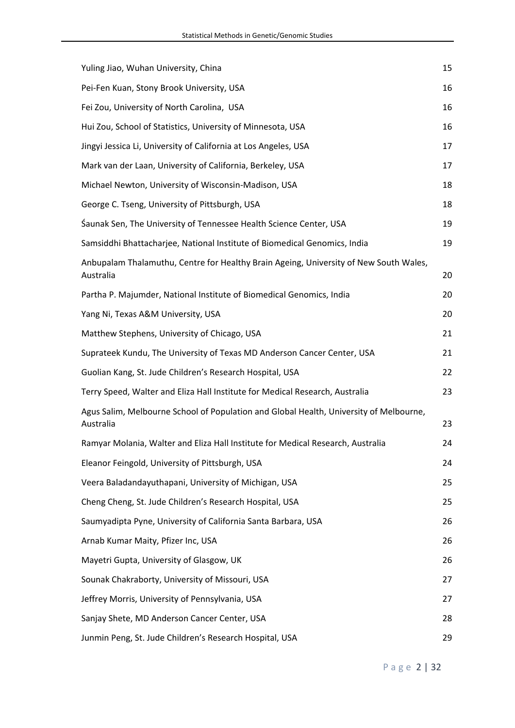| Yuling Jiao, Wuhan University, China                                                                | 15 |
|-----------------------------------------------------------------------------------------------------|----|
| Pei-Fen Kuan, Stony Brook University, USA                                                           | 16 |
| Fei Zou, University of North Carolina, USA                                                          | 16 |
| Hui Zou, School of Statistics, University of Minnesota, USA                                         | 16 |
| Jingyi Jessica Li, University of California at Los Angeles, USA                                     | 17 |
| Mark van der Laan, University of California, Berkeley, USA                                          | 17 |
| Michael Newton, University of Wisconsin-Madison, USA                                                | 18 |
| George C. Tseng, University of Pittsburgh, USA                                                      | 18 |
| Saunak Sen, The University of Tennessee Health Science Center, USA                                  | 19 |
| Samsiddhi Bhattacharjee, National Institute of Biomedical Genomics, India                           | 19 |
| Anbupalam Thalamuthu, Centre for Healthy Brain Ageing, University of New South Wales,<br>Australia  | 20 |
| Partha P. Majumder, National Institute of Biomedical Genomics, India                                | 20 |
| Yang Ni, Texas A&M University, USA                                                                  | 20 |
| Matthew Stephens, University of Chicago, USA                                                        | 21 |
| Suprateek Kundu, The University of Texas MD Anderson Cancer Center, USA                             | 21 |
| Guolian Kang, St. Jude Children's Research Hospital, USA                                            | 22 |
| Terry Speed, Walter and Eliza Hall Institute for Medical Research, Australia                        | 23 |
| Agus Salim, Melbourne School of Population and Global Health, University of Melbourne,<br>Australia | 23 |
| Ramyar Molania, Walter and Eliza Hall Institute for Medical Research, Australia                     | 24 |
| Eleanor Feingold, University of Pittsburgh, USA                                                     | 24 |
| Veera Baladandayuthapani, University of Michigan, USA                                               | 25 |
| Cheng Cheng, St. Jude Children's Research Hospital, USA                                             | 25 |
| Saumyadipta Pyne, University of California Santa Barbara, USA                                       | 26 |
| Arnab Kumar Maity, Pfizer Inc, USA                                                                  | 26 |
| Mayetri Gupta, University of Glasgow, UK                                                            | 26 |
| Sounak Chakraborty, University of Missouri, USA                                                     | 27 |
| Jeffrey Morris, University of Pennsylvania, USA                                                     | 27 |
| Sanjay Shete, MD Anderson Cancer Center, USA                                                        | 28 |
| Junmin Peng, St. Jude Children's Research Hospital, USA                                             | 29 |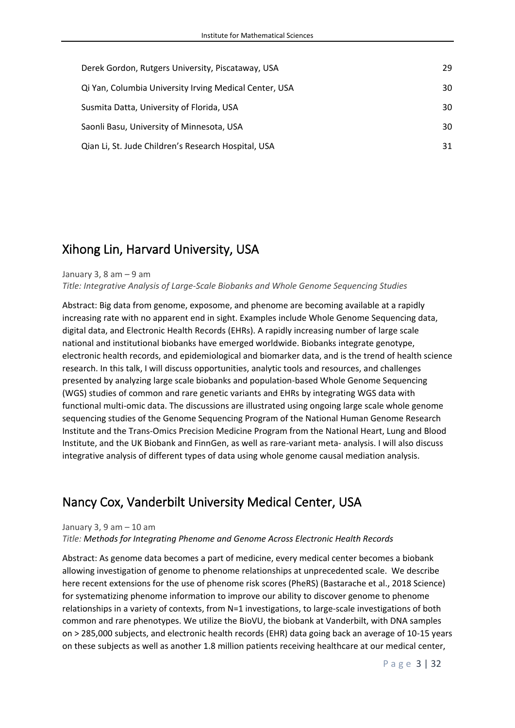| Derek Gordon, Rutgers University, Piscataway, USA      | 29 |
|--------------------------------------------------------|----|
| Qi Yan, Columbia University Irving Medical Center, USA | 30 |
| Susmita Datta, University of Florida, USA              | 30 |
| Saonli Basu, University of Minnesota, USA              | 30 |
| Qian Li, St. Jude Children's Research Hospital, USA    | 31 |

### <span id="page-3-0"></span>Xihong Lin, Harvard University, USA

#### January 3, 8 am  $-9$  am

*Title: Integrative Analysis of Large-Scale Biobanks and Whole Genome Sequencing Studies*

Abstract: Big data from genome, exposome, and phenome are becoming available at a rapidly increasing rate with no apparent end in sight. Examples include Whole Genome Sequencing data, digital data, and Electronic Health Records (EHRs). A rapidly increasing number of large scale national and institutional biobanks have emerged worldwide. Biobanks integrate genotype, electronic health records, and epidemiological and biomarker data, and is the trend of health science research. In this talk, I will discuss opportunities, analytic tools and resources, and challenges presented by analyzing large scale biobanks and population-based Whole Genome Sequencing (WGS) studies of common and rare genetic variants and EHRs by integrating WGS data with functional multi-omic data. The discussions are illustrated using ongoing large scale whole genome sequencing studies of the Genome Sequencing Program of the National Human Genome Research Institute and the Trans-Omics Precision Medicine Program from the National Heart, Lung and Blood Institute, and the UK Biobank and FinnGen, as well as rare-variant meta- analysis. I will also discuss integrative analysis of different types of data using whole genome causal mediation analysis.

### <span id="page-3-1"></span>Nancy Cox, Vanderbilt University Medical Center, USA

#### January 3, 9 am – 10 am

*Title: Methods for Integrating Phenome and Genome Across Electronic Health Records*

Abstract: As genome data becomes a part of medicine, every medical center becomes a biobank allowing investigation of genome to phenome relationships at unprecedented scale. We describe here recent extensions for the use of phenome risk scores (PheRS) (Bastarache et al., 2018 Science) for systematizing phenome information to improve our ability to discover genome to phenome relationships in a variety of contexts, from N=1 investigations, to large-scale investigations of both common and rare phenotypes. We utilize the BioVU, the biobank at Vanderbilt, with DNA samples on > 285,000 subjects, and electronic health records (EHR) data going back an average of 10-15 years on these subjects as well as another 1.8 million patients receiving healthcare at our medical center,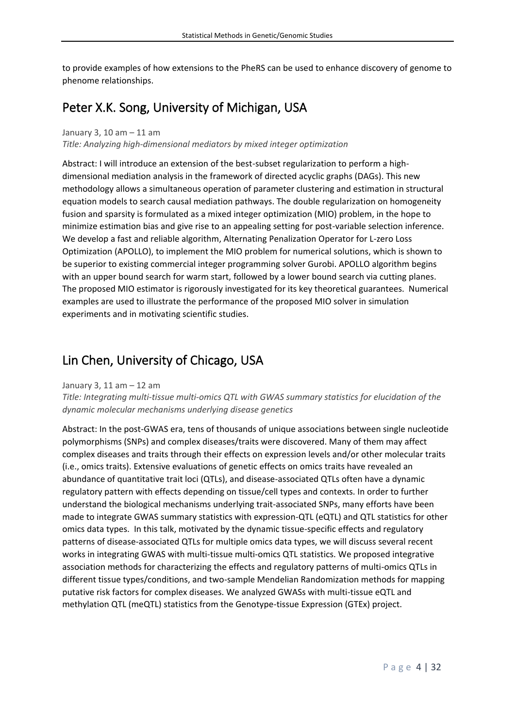to provide examples of how extensions to the PheRS can be used to enhance discovery of genome to phenome relationships.

### <span id="page-4-0"></span>Peter X.K. Song, University of Michigan, USA

#### January 3, 10 am – 11 am *Title: Analyzing high-dimensional mediators by mixed integer optimization*

Abstract: I will introduce an extension of the best-subset regularization to perform a highdimensional mediation analysis in the framework of directed acyclic graphs (DAGs). This new methodology allows a simultaneous operation of parameter clustering and estimation in structural equation models to search causal mediation pathways. The double regularization on homogeneity fusion and sparsity is formulated as a mixed integer optimization (MIO) problem, in the hope to minimize estimation bias and give rise to an appealing setting for post-variable selection inference. We develop a fast and reliable algorithm, Alternating Penalization Operator for L-zero Loss Optimization (APOLLO), to implement the MIO problem for numerical solutions, which is shown to be superior to existing commercial integer programming solver Gurobi. APOLLO algorithm begins with an upper bound search for warm start, followed by a lower bound search via cutting planes. The proposed MIO estimator is rigorously investigated for its key theoretical guarantees. Numerical examples are used to illustrate the performance of the proposed MIO solver in simulation experiments and in motivating scientific studies.

### <span id="page-4-1"></span>Lin Chen, University of Chicago, USA

#### January 3, 11 am – 12 am

*Title: Integrating multi-tissue multi-omics QTL with GWAS summary statistics for elucidation of the dynamic molecular mechanisms underlying disease genetics*

Abstract: In the post-GWAS era, tens of thousands of unique associations between single nucleotide polymorphisms (SNPs) and complex diseases/traits were discovered. Many of them may affect complex diseases and traits through their effects on expression levels and/or other molecular traits (i.e., omics traits). Extensive evaluations of genetic effects on omics traits have revealed an abundance of quantitative trait loci (QTLs), and disease-associated QTLs often have a dynamic regulatory pattern with effects depending on tissue/cell types and contexts. In order to further understand the biological mechanisms underlying trait-associated SNPs, many efforts have been made to integrate GWAS summary statistics with expression-QTL (eQTL) and QTL statistics for other omics data types. In this talk, motivated by the dynamic tissue-specific effects and regulatory patterns of disease-associated QTLs for multiple omics data types, we will discuss several recent works in integrating GWAS with multi-tissue multi-omics QTL statistics. We proposed integrative association methods for characterizing the effects and regulatory patterns of multi-omics QTLs in different tissue types/conditions, and two-sample Mendelian Randomization methods for mapping putative risk factors for complex diseases. We analyzed GWASs with multi-tissue eQTL and methylation QTL (meQTL) statistics from the Genotype-tissue Expression (GTEx) project.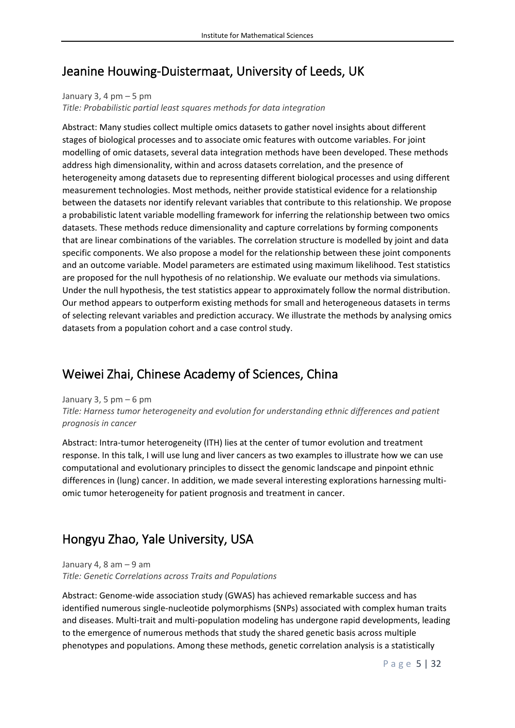### <span id="page-5-0"></span>Jeanine Houwing-Duistermaat, University of Leeds, UK

### January 3, 4  $pm - 5$  pm

*Title: Probabilistic partial least squares methods for data integration*

Abstract: Many studies collect multiple omics datasets to gather novel insights about different stages of biological processes and to associate omic features with outcome variables. For joint modelling of omic datasets, several data integration methods have been developed. These methods address high dimensionality, within and across datasets correlation, and the presence of heterogeneity among datasets due to representing different biological processes and using different measurement technologies. Most methods, neither provide statistical evidence for a relationship between the datasets nor identify relevant variables that contribute to this relationship. We propose a probabilistic latent variable modelling framework for inferring the relationship between two omics datasets. These methods reduce dimensionality and capture correlations by forming components that are linear combinations of the variables. The correlation structure is modelled by joint and data specific components. We also propose a model for the relationship between these joint components and an outcome variable. Model parameters are estimated using maximum likelihood. Test statistics are proposed for the null hypothesis of no relationship. We evaluate our methods via simulations. Under the null hypothesis, the test statistics appear to approximately follow the normal distribution. Our method appears to outperform existing methods for small and heterogeneous datasets in terms of selecting relevant variables and prediction accuracy. We illustrate the methods by analysing omics datasets from a population cohort and a case control study.

### <span id="page-5-1"></span>Weiwei Zhai, Chinese Academy of Sciences, China

January 3, 5 pm  $-6$  pm

*Title: Harness tumor heterogeneity and evolution for understanding ethnic differences and patient prognosis in cancer*

Abstract: Intra-tumor heterogeneity (ITH) lies at the center of tumor evolution and treatment response. In this talk, I will use lung and liver cancers as two examples to illustrate how we can use computational and evolutionary principles to dissect the genomic landscape and pinpoint ethnic differences in (lung) cancer. In addition, we made several interesting explorations harnessing multiomic tumor heterogeneity for patient prognosis and treatment in cancer.

# <span id="page-5-2"></span>Hongyu Zhao, Yale University, USA

January 4, 8 am – 9 am *Title: Genetic Correlations across Traits and Populations*

Abstract: Genome-wide association study (GWAS) has achieved remarkable success and has identified numerous single-nucleotide polymorphisms (SNPs) associated with complex human traits and diseases. Multi-trait and multi-population modeling has undergone rapid developments, leading to the emergence of numerous methods that study the shared genetic basis across multiple phenotypes and populations. Among these methods, genetic correlation analysis is a statistically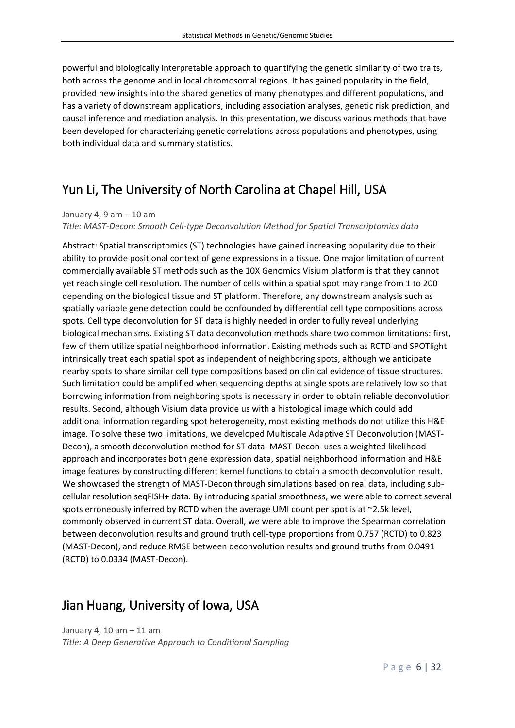powerful and biologically interpretable approach to quantifying the genetic similarity of two traits, both across the genome and in local chromosomal regions. It has gained popularity in the field, provided new insights into the shared genetics of many phenotypes and different populations, and has a variety of downstream applications, including association analyses, genetic risk prediction, and causal inference and mediation analysis. In this presentation, we discuss various methods that have been developed for characterizing genetic correlations across populations and phenotypes, using both individual data and summary statistics.

# <span id="page-6-0"></span>Yun Li, The University of North Carolina at Chapel Hill, USA

January 4, 9 am  $-$  10 am

*Title: MAST-Decon: Smooth Cell-type Deconvolution Method for Spatial Transcriptomics data*

Abstract: Spatial transcriptomics (ST) technologies have gained increasing popularity due to their ability to provide positional context of gene expressions in a tissue. One major limitation of current commercially available ST methods such as the 10X Genomics Visium platform is that they cannot yet reach single cell resolution. The number of cells within a spatial spot may range from 1 to 200 depending on the biological tissue and ST platform. Therefore, any downstream analysis such as spatially variable gene detection could be confounded by differential cell type compositions across spots. Cell type deconvolution for ST data is highly needed in order to fully reveal underlying biological mechanisms. Existing ST data deconvolution methods share two common limitations: first, few of them utilize spatial neighborhood information. Existing methods such as RCTD and SPOTlight intrinsically treat each spatial spot as independent of neighboring spots, although we anticipate nearby spots to share similar cell type compositions based on clinical evidence of tissue structures. Such limitation could be amplified when sequencing depths at single spots are relatively low so that borrowing information from neighboring spots is necessary in order to obtain reliable deconvolution results. Second, although Visium data provide us with a histological image which could add additional information regarding spot heterogeneity, most existing methods do not utilize this H&E image. To solve these two limitations, we developed Multiscale Adaptive ST Deconvolution (MAST-Decon), a smooth deconvolution method for ST data. MAST-Decon uses a weighted likelihood approach and incorporates both gene expression data, spatial neighborhood information and H&E image features by constructing different kernel functions to obtain a smooth deconvolution result. We showcased the strength of MAST-Decon through simulations based on real data, including subcellular resolution seqFISH+ data. By introducing spatial smoothness, we were able to correct several spots erroneously inferred by RCTD when the average UMI count per spot is at ~2.5k level, commonly observed in current ST data. Overall, we were able to improve the Spearman correlation between deconvolution results and ground truth cell-type proportions from 0.757 (RCTD) to 0.823 (MAST-Decon), and reduce RMSE between deconvolution results and ground truths from 0.0491 (RCTD) to 0.0334 (MAST-Decon).

### <span id="page-6-1"></span>Jian Huang, University of Iowa, USA

January 4, 10 am – 11 am *Title: A Deep Generative Approach to Conditional Sampling*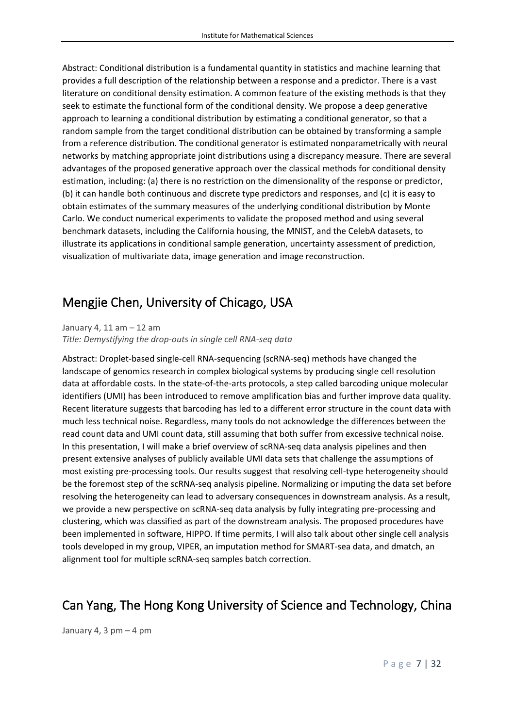Abstract: Conditional distribution is a fundamental quantity in statistics and machine learning that provides a full description of the relationship between a response and a predictor. There is a vast literature on conditional density estimation. A common feature of the existing methods is that they seek to estimate the functional form of the conditional density. We propose a deep generative approach to learning a conditional distribution by estimating a conditional generator, so that a random sample from the target conditional distribution can be obtained by transforming a sample from a reference distribution. The conditional generator is estimated nonparametrically with neural networks by matching appropriate joint distributions using a discrepancy measure. There are several advantages of the proposed generative approach over the classical methods for conditional density estimation, including: (a) there is no restriction on the dimensionality of the response or predictor, (b) it can handle both continuous and discrete type predictors and responses, and (c) it is easy to obtain estimates of the summary measures of the underlying conditional distribution by Monte Carlo. We conduct numerical experiments to validate the proposed method and using several benchmark datasets, including the California housing, the MNIST, and the CelebA datasets, to illustrate its applications in conditional sample generation, uncertainty assessment of prediction, visualization of multivariate data, image generation and image reconstruction.

### <span id="page-7-0"></span>Mengjie Chen, University of Chicago, USA

January 4, 11 am – 12 am

*Title: Demystifying the drop-outs in single cell RNA-seq data*

Abstract: Droplet-based single-cell RNA-sequencing (scRNA-seq) methods have changed the landscape of genomics research in complex biological systems by producing single cell resolution data at affordable costs. In the state-of-the-arts protocols, a step called barcoding unique molecular identifiers (UMI) has been introduced to remove amplification bias and further improve data quality. Recent literature suggests that barcoding has led to a different error structure in the count data with much less technical noise. Regardless, many tools do not acknowledge the differences between the read count data and UMI count data, still assuming that both suffer from excessive technical noise. In this presentation, I will make a brief overview of scRNA-seq data analysis pipelines and then present extensive analyses of publicly available UMI data sets that challenge the assumptions of most existing pre-processing tools. Our results suggest that resolving cell-type heterogeneity should be the foremost step of the scRNA-seq analysis pipeline. Normalizing or imputing the data set before resolving the heterogeneity can lead to adversary consequences in downstream analysis. As a result, we provide a new perspective on scRNA-seq data analysis by fully integrating pre-processing and clustering, which was classified as part of the downstream analysis. The proposed procedures have been implemented in software, HIPPO. If time permits, I will also talk about other single cell analysis tools developed in my group, VIPER, an imputation method for SMART-sea data, and dmatch, an alignment tool for multiple scRNA-seq samples batch correction.

### <span id="page-7-1"></span>Can Yang, The Hong Kong University of Science and Technology, China

January 4, 3 pm  $-$  4 pm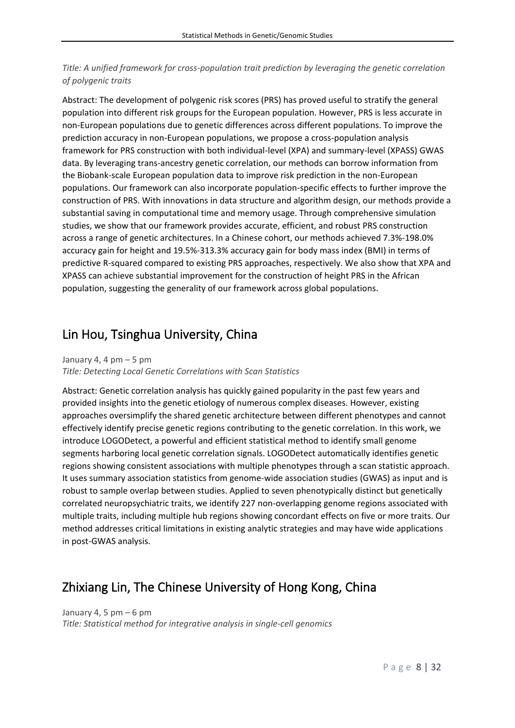### *Title: A unified framework for cross-population trait prediction by leveraging the genetic correlation of polygenic traits*

Abstract: The development of polygenic risk scores (PRS) has proved useful to stratify the general population into different risk groups for the European population. However, PRS is less accurate in non-European populations due to genetic differences across different populations. To improve the prediction accuracy in non-European populations, we propose a cross-population analysis framework for PRS construction with both individual-level (XPA) and summary-level (XPASS) GWAS data. By leveraging trans-ancestry genetic correlation, our methods can borrow information from the Biobank-scale European population data to improve risk prediction in the non-European populations. Our framework can also incorporate population-specific effects to further improve the construction of PRS. With innovations in data structure and algorithm design, our methods provide a substantial saving in computational time and memory usage. Through comprehensive simulation studies, we show that our framework provides accurate, efficient, and robust PRS construction across a range of genetic architectures. In a Chinese cohort, our methods achieved 7.3%-198.0% accuracy gain for height and 19.5%-313.3% accuracy gain for body mass index (BMI) in terms of predictive R-squared compared to existing PRS approaches, respectively. We also show that XPA and XPASS can achieve substantial improvement for the construction of height PRS in the African population, suggesting the generality of our framework across global populations.

### <span id="page-8-0"></span>Lin Hou, Tsinghua University, China

#### January 4, 4 pm  $-5$  pm

*Title: Detecting Local Genetic Correlations with Scan Statistics*

Abstract: Genetic correlation analysis has quickly gained popularity in the past few years and provided insights into the genetic etiology of numerous complex diseases. However, existing approaches oversimplify the shared genetic architecture between different phenotypes and cannot effectively identify precise genetic regions contributing to the genetic correlation. In this work, we introduce LOGODetect, a powerful and efficient statistical method to identify small genome segments harboring local genetic correlation signals. LOGODetect automatically identifies genetic regions showing consistent associations with multiple phenotypes through a scan statistic approach. It uses summary association statistics from genome-wide association studies (GWAS) as input and is robust to sample overlap between studies. Applied to seven phenotypically distinct but genetically correlated neuropsychiatric traits, we identify 227 non-overlapping genome regions associated with multiple traits, including multiple hub regions showing concordant effects on five or more traits. Our method addresses critical limitations in existing analytic strategies and may have wide applications in post-GWAS analysis.

### <span id="page-8-1"></span>Zhixiang Lin, The Chinese University of Hong Kong, China

January 4, 5 pm  $-6$  pm *Title: Statistical method for integrative analysis in single-cell genomics*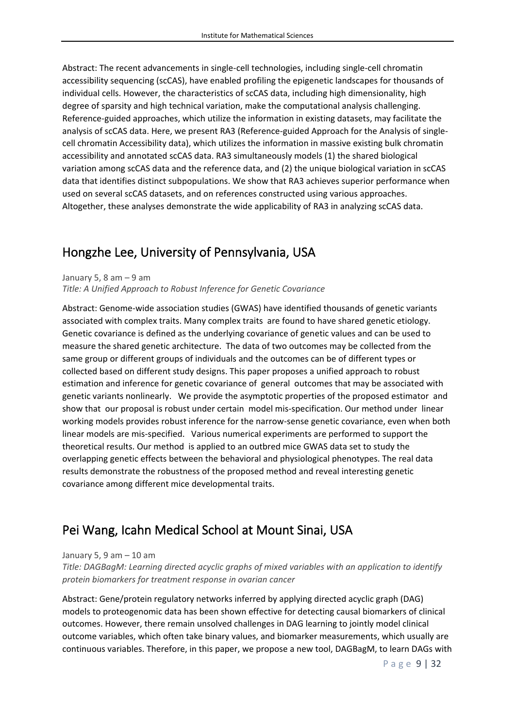Abstract: The recent advancements in single-cell technologies, including single-cell chromatin accessibility sequencing (scCAS), have enabled profiling the epigenetic landscapes for thousands of individual cells. However, the characteristics of scCAS data, including high dimensionality, high degree of sparsity and high technical variation, make the computational analysis challenging. Reference-guided approaches, which utilize the information in existing datasets, may facilitate the analysis of scCAS data. Here, we present RA3 (Reference-guided Approach for the Analysis of singlecell chromatin Accessibility data), which utilizes the information in massive existing bulk chromatin accessibility and annotated scCAS data. RA3 simultaneously models (1) the shared biological variation among scCAS data and the reference data, and (2) the unique biological variation in scCAS data that identifies distinct subpopulations. We show that RA3 achieves superior performance when used on several scCAS datasets, and on references constructed using various approaches. Altogether, these analyses demonstrate the wide applicability of RA3 in analyzing scCAS data.

### <span id="page-9-0"></span>Hongzhe Lee, University of Pennsylvania, USA

January 5, 8 am  $-9$  am

*Title: A Unified Approach to Robust Inference for Genetic Covariance*

Abstract: Genome-wide association studies (GWAS) have identified thousands of genetic variants associated with complex traits. Many complex traits are found to have shared genetic etiology. Genetic covariance is defined as the underlying covariance of genetic values and can be used to measure the shared genetic architecture. The data of two outcomes may be collected from the same group or different groups of individuals and the outcomes can be of different types or collected based on different study designs. This paper proposes a unified approach to robust estimation and inference for genetic covariance of general outcomes that may be associated with genetic variants nonlinearly. We provide the asymptotic properties of the proposed estimator and show that our proposal is robust under certain model mis-specification. Our method under linear working models provides robust inference for the narrow-sense genetic covariance, even when both linear models are mis-specified. Various numerical experiments are performed to support the theoretical results. Our method is applied to an outbred mice GWAS data set to study the overlapping genetic effects between the behavioral and physiological phenotypes. The real data results demonstrate the robustness of the proposed method and reveal interesting genetic covariance among different mice developmental traits.

### <span id="page-9-1"></span>Pei Wang, Icahn Medical School at Mount Sinai, USA

#### January 5, 9 am – 10 am

*Title: DAGBagM: Learning directed acyclic graphs of mixed variables with an application to identify protein biomarkers for treatment response in ovarian cancer*

Abstract: Gene/protein regulatory networks inferred by applying directed acyclic graph (DAG) models to proteogenomic data has been shown effective for detecting causal biomarkers of clinical outcomes. However, there remain unsolved challenges in DAG learning to jointly model clinical outcome variables, which often take binary values, and biomarker measurements, which usually are continuous variables. Therefore, in this paper, we propose a new tool, DAGBagM, to learn DAGs with

P a g e 9 | 32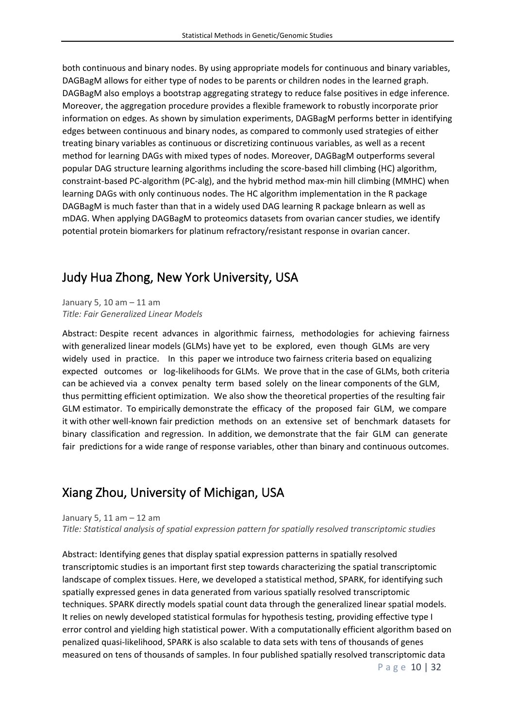both continuous and binary nodes. By using appropriate models for continuous and binary variables, DAGBagM allows for either type of nodes to be parents or children nodes in the learned graph. DAGBagM also employs a bootstrap aggregating strategy to reduce false positives in edge inference. Moreover, the aggregation procedure provides a flexible framework to robustly incorporate prior information on edges. As shown by simulation experiments, DAGBagM performs better in identifying edges between continuous and binary nodes, as compared to commonly used strategies of either treating binary variables as continuous or discretizing continuous variables, as well as a recent method for learning DAGs with mixed types of nodes. Moreover, DAGBagM outperforms several popular DAG structure learning algorithms including the score-based hill climbing (HC) algorithm, constraint-based PC-algorithm (PC-alg), and the hybrid method max-min hill climbing (MMHC) when learning DAGs with only continuous nodes. The HC algorithm implementation in the R package DAGBagM is much faster than that in a widely used DAG learning R package bnlearn as well as mDAG. When applying DAGBagM to proteomics datasets from ovarian cancer studies, we identify potential protein biomarkers for platinum refractory/resistant response in ovarian cancer.

### <span id="page-10-0"></span>Judy Hua Zhong, New York University, USA

January 5, 10 am – 11 am *Title: Fair Generalized Linear Models*

Abstract: Despite recent advances in algorithmic fairness, methodologies for achieving fairness with generalized linear models (GLMs) have yet to be explored, even though GLMs are very widely used in practice. In this paper we introduce two fairness criteria based on equalizing expected outcomes or log-likelihoods for GLMs. We prove that in the case of GLMs, both criteria can be achieved via a convex penalty term based solely on the linear components of the GLM, thus permitting efficient optimization. We also show the theoretical properties of the resulting fair GLM estimator. To empirically demonstrate the efficacy of the proposed fair GLM, we compare it with other well-known fair prediction methods on an extensive set of benchmark datasets for binary classification and regression. In addition, we demonstrate that the fair GLM can generate fair predictions for a wide range of response variables, other than binary and continuous outcomes.

### <span id="page-10-1"></span>Xiang Zhou, University of Michigan, USA

January 5, 11 am – 12 am *Title: Statistical analysis of spatial expression pattern for spatially resolved transcriptomic studies*

P a g e 10 | 32 Abstract: Identifying genes that display spatial expression patterns in spatially resolved transcriptomic studies is an important first step towards characterizing the spatial transcriptomic landscape of complex tissues. Here, we developed a statistical method, SPARK, for identifying such spatially expressed genes in data generated from various spatially resolved transcriptomic techniques. SPARK directly models spatial count data through the generalized linear spatial models. It relies on newly developed statistical formulas for hypothesis testing, providing effective type I error control and yielding high statistical power. With a computationally efficient algorithm based on penalized quasi-likelihood, SPARK is also scalable to data sets with tens of thousands of genes measured on tens of thousands of samples. In four published spatially resolved transcriptomic data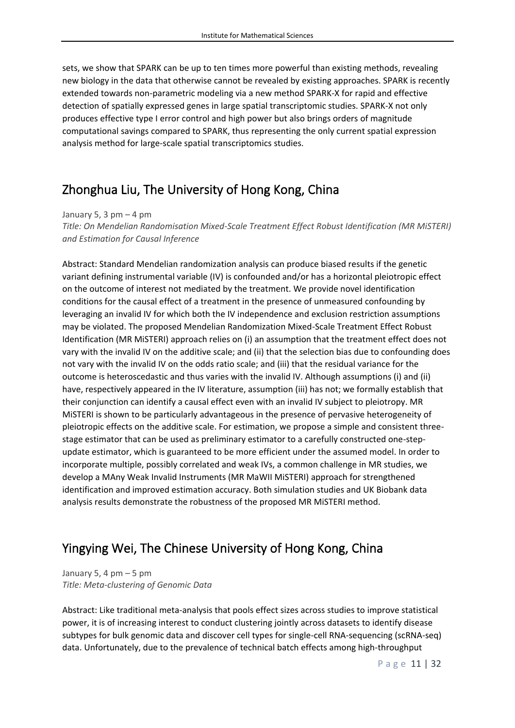sets, we show that SPARK can be up to ten times more powerful than existing methods, revealing new biology in the data that otherwise cannot be revealed by existing approaches. SPARK is recently extended towards non-parametric modeling via a new method SPARK-X for rapid and effective detection of spatially expressed genes in large spatial transcriptomic studies. SPARK-X not only produces effective type I error control and high power but also brings orders of magnitude computational savings compared to SPARK, thus representing the only current spatial expression analysis method for large-scale spatial transcriptomics studies.

### <span id="page-11-0"></span>Zhonghua Liu, The University of Hong Kong, China

January 5, 3 pm  $-4$  pm

*Title: On Mendelian Randomisation Mixed-Scale Treatment Effect Robust Identification (MR MiSTERI) and Estimation for Causal Inference*

Abstract: Standard Mendelian randomization analysis can produce biased results if the genetic variant defining instrumental variable (IV) is confounded and/or has a horizontal pleiotropic effect on the outcome of interest not mediated by the treatment. We provide novel identification conditions for the causal effect of a treatment in the presence of unmeasured confounding by leveraging an invalid IV for which both the IV independence and exclusion restriction assumptions may be violated. The proposed Mendelian Randomization Mixed-Scale Treatment Effect Robust Identification (MR MiSTERI) approach relies on (i) an assumption that the treatment effect does not vary with the invalid IV on the additive scale; and (ii) that the selection bias due to confounding does not vary with the invalid IV on the odds ratio scale; and (iii) that the residual variance for the outcome is heteroscedastic and thus varies with the invalid IV. Although assumptions (i) and (ii) have, respectively appeared in the IV literature, assumption (iii) has not; we formally establish that their conjunction can identify a causal effect even with an invalid IV subject to pleiotropy. MR MiSTERI is shown to be particularly advantageous in the presence of pervasive heterogeneity of pleiotropic effects on the additive scale. For estimation, we propose a simple and consistent threestage estimator that can be used as preliminary estimator to a carefully constructed one-stepupdate estimator, which is guaranteed to be more efficient under the assumed model. In order to incorporate multiple, possibly correlated and weak IVs, a common challenge in MR studies, we develop a MAny Weak Invalid Instruments (MR MaWII MiSTERI) approach for strengthened identification and improved estimation accuracy. Both simulation studies and UK Biobank data analysis results demonstrate the robustness of the proposed MR MiSTERI method.

### <span id="page-11-1"></span>Yingying Wei, The Chinese University of Hong Kong, China

January 5, 4 pm  $-5$  pm *Title: Meta-clustering of Genomic Data*

Abstract: Like traditional meta-analysis that pools effect sizes across studies to improve statistical power, it is of increasing interest to conduct clustering jointly across datasets to identify disease subtypes for bulk genomic data and discover cell types for single-cell RNA-sequencing (scRNA-seq) data. Unfortunately, due to the prevalence of technical batch effects among high-throughput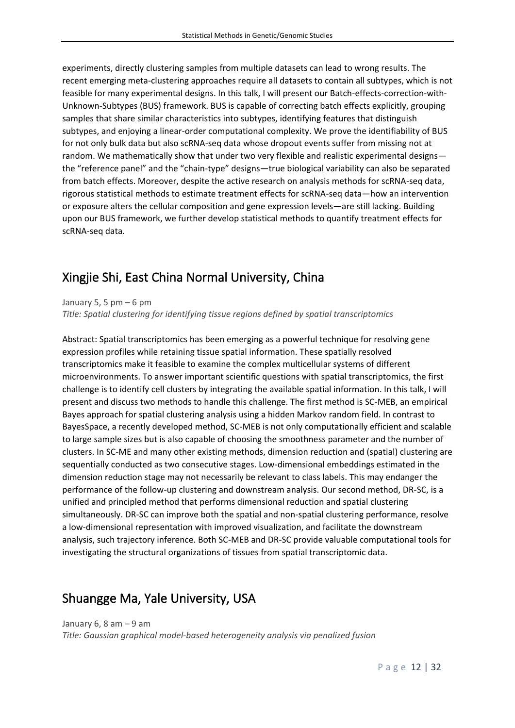experiments, directly clustering samples from multiple datasets can lead to wrong results. The recent emerging meta-clustering approaches require all datasets to contain all subtypes, which is not feasible for many experimental designs. In this talk, I will present our Batch-effects-correction-with-Unknown-Subtypes (BUS) framework. BUS is capable of correcting batch effects explicitly, grouping samples that share similar characteristics into subtypes, identifying features that distinguish subtypes, and enjoying a linear-order computational complexity. We prove the identifiability of BUS for not only bulk data but also scRNA-seq data whose dropout events suffer from missing not at random. We mathematically show that under two very flexible and realistic experimental designs the "reference panel" and the "chain-type" designs—true biological variability can also be separated from batch effects. Moreover, despite the active research on analysis methods for scRNA-seq data, rigorous statistical methods to estimate treatment effects for scRNA-seq data—how an intervention or exposure alters the cellular composition and gene expression levels—are still lacking. Building upon our BUS framework, we further develop statistical methods to quantify treatment effects for scRNA-seq data.

### <span id="page-12-0"></span>Xingjie Shi, East China Normal University, China

January 5, 5 pm  $-6$  pm

*Title: Spatial clustering for identifying tissue regions defined by spatial transcriptomics*

Abstract: Spatial transcriptomics has been emerging as a powerful technique for resolving gene expression profiles while retaining tissue spatial information. These spatially resolved transcriptomics make it feasible to examine the complex multicellular systems of different microenvironments. To answer important scientific questions with spatial transcriptomics, the first challenge is to identify cell clusters by integrating the available spatial information. In this talk, I will present and discuss two methods to handle this challenge. The first method is SC-MEB, an empirical Bayes approach for spatial clustering analysis using a hidden Markov random field. In contrast to BayesSpace, a recently developed method, SC-MEB is not only computationally efficient and scalable to large sample sizes but is also capable of choosing the smoothness parameter and the number of clusters. In SC-ME and many other existing methods, dimension reduction and (spatial) clustering are sequentially conducted as two consecutive stages. Low-dimensional embeddings estimated in the dimension reduction stage may not necessarily be relevant to class labels. This may endanger the performance of the follow-up clustering and downstream analysis. Our second method, DR-SC, is a unified and principled method that performs dimensional reduction and spatial clustering simultaneously. DR-SC can improve both the spatial and non-spatial clustering performance, resolve a low-dimensional representation with improved visualization, and facilitate the downstream analysis, such trajectory inference. Both SC-MEB and DR-SC provide valuable computational tools for investigating the structural organizations of tissues from spatial transcriptomic data.

### <span id="page-12-1"></span>Shuangge Ma, Yale University, USA

January 6, 8 am  $-9$  am

*Title: Gaussian graphical model-based heterogeneity analysis via penalized fusion*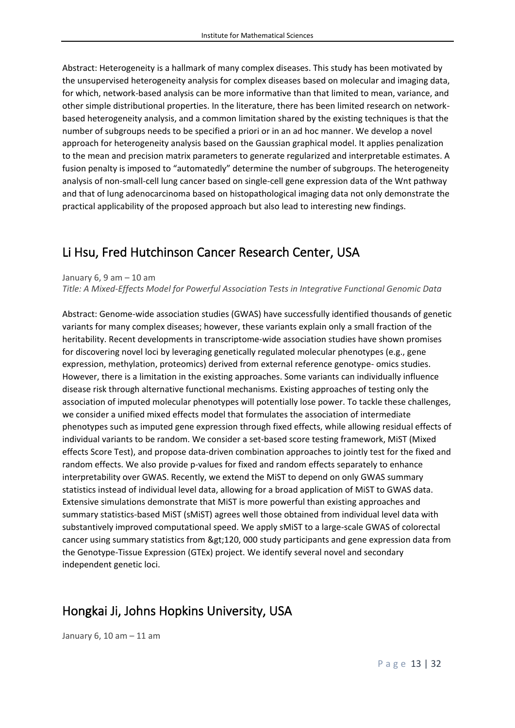Abstract: Heterogeneity is a hallmark of many complex diseases. This study has been motivated by the unsupervised heterogeneity analysis for complex diseases based on molecular and imaging data, for which, network-based analysis can be more informative than that limited to mean, variance, and other simple distributional properties. In the literature, there has been limited research on networkbased heterogeneity analysis, and a common limitation shared by the existing techniques is that the number of subgroups needs to be specified a priori or in an ad hoc manner. We develop a novel approach for heterogeneity analysis based on the Gaussian graphical model. It applies penalization to the mean and precision matrix parameters to generate regularized and interpretable estimates. A fusion penalty is imposed to "automatedly" determine the number of subgroups. The heterogeneity analysis of non-small-cell lung cancer based on single-cell gene expression data of the Wnt pathway and that of lung adenocarcinoma based on histopathological imaging data not only demonstrate the practical applicability of the proposed approach but also lead to interesting new findings.

### <span id="page-13-0"></span>Li Hsu, Fred Hutchinson Cancer Research Center, USA

January  $6, 9$  am  $-10$  am

*Title: A Mixed-Effects Model for Powerful Association Tests in Integrative Functional Genomic Data*

Abstract: Genome-wide association studies (GWAS) have successfully identified thousands of genetic variants for many complex diseases; however, these variants explain only a small fraction of the heritability. Recent developments in transcriptome-wide association studies have shown promises for discovering novel loci by leveraging genetically regulated molecular phenotypes (e.g., gene expression, methylation, proteomics) derived from external reference genotype- omics studies. However, there is a limitation in the existing approaches. Some variants can individually influence disease risk through alternative functional mechanisms. Existing approaches of testing only the association of imputed molecular phenotypes will potentially lose power. To tackle these challenges, we consider a unified mixed effects model that formulates the association of intermediate phenotypes such as imputed gene expression through fixed effects, while allowing residual effects of individual variants to be random. We consider a set-based score testing framework, MiST (Mixed effects Score Test), and propose data-driven combination approaches to jointly test for the fixed and random effects. We also provide p-values for fixed and random effects separately to enhance interpretability over GWAS. Recently, we extend the MiST to depend on only GWAS summary statistics instead of individual level data, allowing for a broad application of MiST to GWAS data. Extensive simulations demonstrate that MiST is more powerful than existing approaches and summary statistics-based MiST (sMiST) agrees well those obtained from individual level data with substantively improved computational speed. We apply sMiST to a large-scale GWAS of colorectal cancer using summary statistics from >120, 000 study participants and gene expression data from the Genotype-Tissue Expression (GTEx) project. We identify several novel and secondary independent genetic loci.

### <span id="page-13-1"></span>Hongkai Ji, Johns Hopkins University, USA

January 6, 10 am – 11 am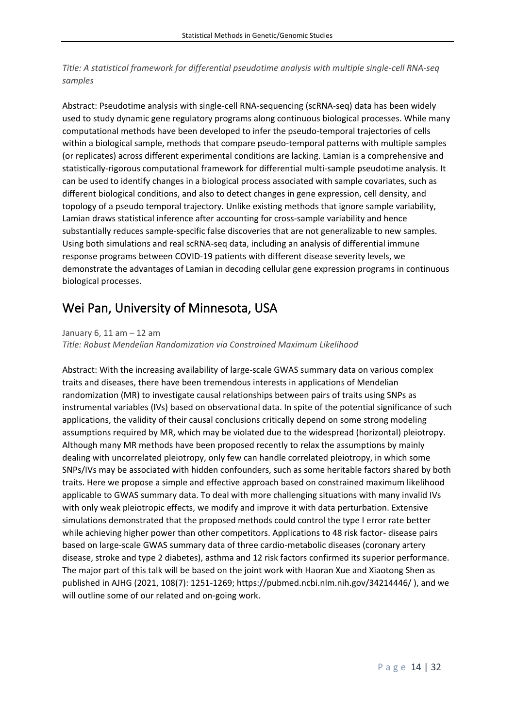*Title: A statistical framework for differential pseudotime analysis with multiple single-cell RNA-seq samples*

Abstract: Pseudotime analysis with single-cell RNA-sequencing (scRNA-seq) data has been widely used to study dynamic gene regulatory programs along continuous biological processes. While many computational methods have been developed to infer the pseudo-temporal trajectories of cells within a biological sample, methods that compare pseudo-temporal patterns with multiple samples (or replicates) across different experimental conditions are lacking. Lamian is a comprehensive and statistically-rigorous computational framework for differential multi-sample pseudotime analysis. It can be used to identify changes in a biological process associated with sample covariates, such as different biological conditions, and also to detect changes in gene expression, cell density, and topology of a pseudo temporal trajectory. Unlike existing methods that ignore sample variability, Lamian draws statistical inference after accounting for cross-sample variability and hence substantially reduces sample-specific false discoveries that are not generalizable to new samples. Using both simulations and real scRNA-seq data, including an analysis of differential immune response programs between COVID-19 patients with different disease severity levels, we demonstrate the advantages of Lamian in decoding cellular gene expression programs in continuous biological processes.

### <span id="page-14-0"></span>Wei Pan, University of Minnesota, USA

January 6, 11 am – 12 am

*Title: Robust Mendelian Randomization via Constrained Maximum Likelihood*

Abstract: With the increasing availability of large-scale GWAS summary data on various complex traits and diseases, there have been tremendous interests in applications of Mendelian randomization (MR) to investigate causal relationships between pairs of traits using SNPs as instrumental variables (IVs) based on observational data. In spite of the potential significance of such applications, the validity of their causal conclusions critically depend on some strong modeling assumptions required by MR, which may be violated due to the widespread (horizontal) pleiotropy. Although many MR methods have been proposed recently to relax the assumptions by mainly dealing with uncorrelated pleiotropy, only few can handle correlated pleiotropy, in which some SNPs/IVs may be associated with hidden confounders, such as some heritable factors shared by both traits. Here we propose a simple and effective approach based on constrained maximum likelihood applicable to GWAS summary data. To deal with more challenging situations with many invalid IVs with only weak pleiotropic effects, we modify and improve it with data perturbation. Extensive simulations demonstrated that the proposed methods could control the type I error rate better while achieving higher power than other competitors. Applications to 48 risk factor- disease pairs based on large-scale GWAS summary data of three cardio-metabolic diseases (coronary artery disease, stroke and type 2 diabetes), asthma and 12 risk factors confirmed its superior performance. The major part of this talk will be based on the joint work with Haoran Xue and Xiaotong Shen as published in AJHG (2021, 108(7): 1251-1269; https://pubmed.ncbi.nlm.nih.gov/34214446/ ), and we will outline some of our related and on-going work.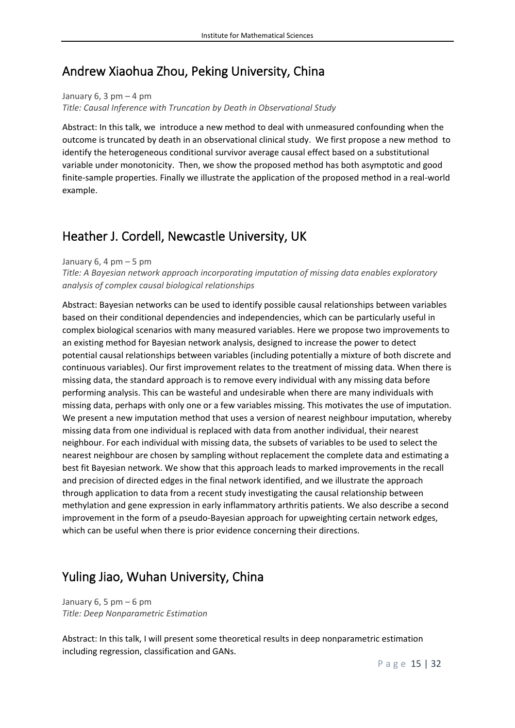### <span id="page-15-0"></span>Andrew Xiaohua Zhou, Peking University, China

January  $6, 3$  pm  $-4$  pm *Title: Causal Inference with Truncation by Death in Observational Study*

Abstract: In this talk, we introduce a new method to deal with unmeasured confounding when the outcome is truncated by death in an observational clinical study. We first propose a new method to identify the heterogeneous conditional survivor average causal effect based on a substitutional variable under monotonicity. Then, we show the proposed method has both asymptotic and good finite-sample properties. Finally we illustrate the application of the proposed method in a real-world example.

### <span id="page-15-1"></span>Heather J. Cordell, Newcastle University, UK

January 6, 4 pm  $-5$  pm

*Title: A Bayesian network approach incorporating imputation of missing data enables exploratory analysis of complex causal biological relationships*

Abstract: Bayesian networks can be used to identify possible causal relationships between variables based on their conditional dependencies and independencies, which can be particularly useful in complex biological scenarios with many measured variables. Here we propose two improvements to an existing method for Bayesian network analysis, designed to increase the power to detect potential causal relationships between variables (including potentially a mixture of both discrete and continuous variables). Our first improvement relates to the treatment of missing data. When there is missing data, the standard approach is to remove every individual with any missing data before performing analysis. This can be wasteful and undesirable when there are many individuals with missing data, perhaps with only one or a few variables missing. This motivates the use of imputation. We present a new imputation method that uses a version of nearest neighbour imputation, whereby missing data from one individual is replaced with data from another individual, their nearest neighbour. For each individual with missing data, the subsets of variables to be used to select the nearest neighbour are chosen by sampling without replacement the complete data and estimating a best fit Bayesian network. We show that this approach leads to marked improvements in the recall and precision of directed edges in the final network identified, and we illustrate the approach through application to data from a recent study investigating the causal relationship between methylation and gene expression in early inflammatory arthritis patients. We also describe a second improvement in the form of a pseudo-Bayesian approach for upweighting certain network edges, which can be useful when there is prior evidence concerning their directions.

### <span id="page-15-2"></span>Yuling Jiao, Wuhan University, China

January 6, 5 pm  $-6$  pm *Title: Deep Nonparametric Estimation*

Abstract: In this talk, I will present some theoretical results in deep nonparametric estimation including regression, classification and GANs.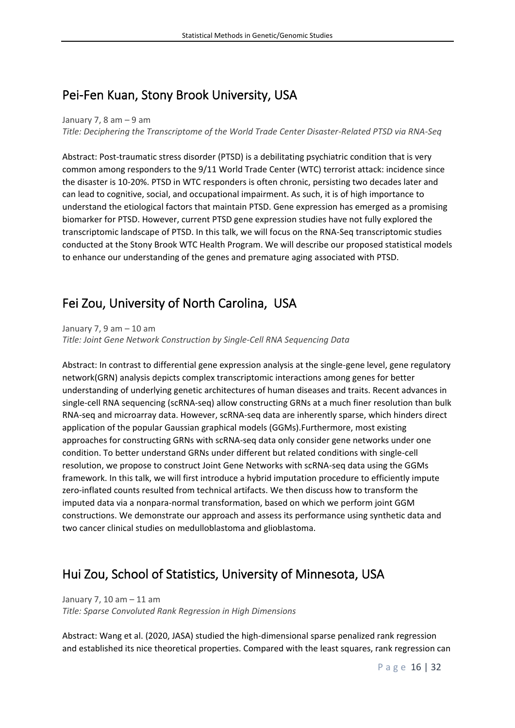### <span id="page-16-0"></span>Pei-Fen Kuan, Stony Brook University, USA

#### January 7, 8 am  $-9$  am

*Title: Deciphering the Transcriptome of the World Trade Center Disaster-Related PTSD via RNA-Seq*

Abstract: Post-traumatic stress disorder (PTSD) is a debilitating psychiatric condition that is very common among responders to the 9/11 World Trade Center (WTC) terrorist attack: incidence since the disaster is 10-20%. PTSD in WTC responders is often chronic, persisting two decades later and can lead to cognitive, social, and occupational impairment. As such, it is of high importance to understand the etiological factors that maintain PTSD. Gene expression has emerged as a promising biomarker for PTSD. However, current PTSD gene expression studies have not fully explored the transcriptomic landscape of PTSD. In this talk, we will focus on the RNA-Seq transcriptomic studies conducted at the Stony Brook WTC Health Program. We will describe our proposed statistical models to enhance our understanding of the genes and premature aging associated with PTSD.

### <span id="page-16-1"></span>Fei Zou, University of North Carolina, USA

January 7, 9 am  $-$  10 am *Title: Joint Gene Network Construction by Single-Cell RNA Sequencing Data*

Abstract: In contrast to differential gene expression analysis at the single-gene level, gene regulatory network(GRN) analysis depicts complex transcriptomic interactions among genes for better understanding of underlying genetic architectures of human diseases and traits. Recent advances in single-cell RNA sequencing (scRNA-seq) allow constructing GRNs at a much finer resolution than bulk RNA-seq and microarray data. However, scRNA-seq data are inherently sparse, which hinders direct application of the popular Gaussian graphical models (GGMs).Furthermore, most existing approaches for constructing GRNs with scRNA-seq data only consider gene networks under one condition. To better understand GRNs under different but related conditions with single-cell resolution, we propose to construct Joint Gene Networks with scRNA-seq data using the GGMs framework. In this talk, we will first introduce a hybrid imputation procedure to efficiently impute zero-inflated counts resulted from technical artifacts. We then discuss how to transform the imputed data via a nonpara-normal transformation, based on which we perform joint GGM constructions. We demonstrate our approach and assess its performance using synthetic data and two cancer clinical studies on medulloblastoma and glioblastoma.

### <span id="page-16-2"></span>Hui Zou, School of Statistics, University of Minnesota, USA

January 7, 10 am – 11 am *Title: Sparse Convoluted Rank Regression in High Dimensions*

Abstract: Wang et al. (2020, JASA) studied the high-dimensional sparse penalized rank regression and established its nice theoretical properties. Compared with the least squares, rank regression can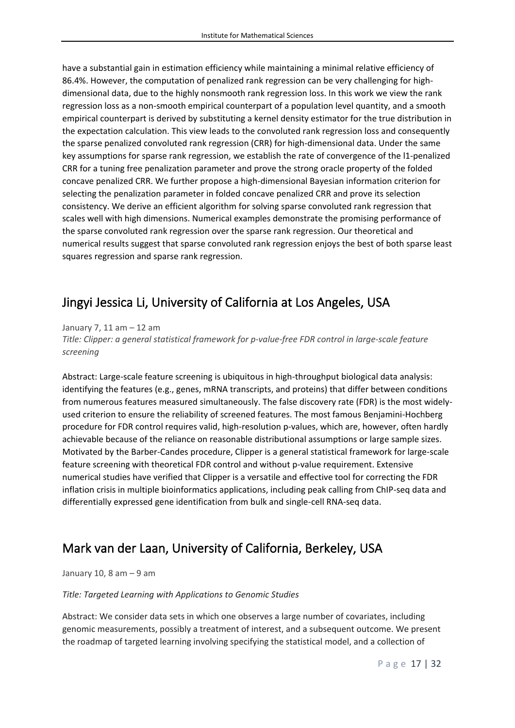have a substantial gain in estimation efficiency while maintaining a minimal relative efficiency of 86.4%. However, the computation of penalized rank regression can be very challenging for highdimensional data, due to the highly nonsmooth rank regression loss. In this work we view the rank regression loss as a non-smooth empirical counterpart of a population level quantity, and a smooth empirical counterpart is derived by substituting a kernel density estimator for the true distribution in the expectation calculation. This view leads to the convoluted rank regression loss and consequently the sparse penalized convoluted rank regression (CRR) for high-dimensional data. Under the same key assumptions for sparse rank regression, we establish the rate of convergence of the l1-penalized CRR for a tuning free penalization parameter and prove the strong oracle property of the folded concave penalized CRR. We further propose a high-dimensional Bayesian information criterion for selecting the penalization parameter in folded concave penalized CRR and prove its selection consistency. We derive an efficient algorithm for solving sparse convoluted rank regression that scales well with high dimensions. Numerical examples demonstrate the promising performance of the sparse convoluted rank regression over the sparse rank regression. Our theoretical and numerical results suggest that sparse convoluted rank regression enjoys the best of both sparse least squares regression and sparse rank regression.

### <span id="page-17-0"></span>Jingyi Jessica Li, University of California at Los Angeles, USA

January 7, 11 am – 12 am

*Title: Clipper: a general statistical framework for p-value-free FDR control in large-scale feature screening*

Abstract: Large-scale feature screening is ubiquitous in high-throughput biological data analysis: identifying the features (e.g., genes, mRNA transcripts, and proteins) that differ between conditions from numerous features measured simultaneously. The false discovery rate (FDR) is the most widelyused criterion to ensure the reliability of screened features. The most famous Benjamini-Hochberg procedure for FDR control requires valid, high-resolution p-values, which are, however, often hardly achievable because of the reliance on reasonable distributional assumptions or large sample sizes. Motivated by the Barber-Candes procedure, Clipper is a general statistical framework for large-scale feature screening with theoretical FDR control and without p-value requirement. Extensive numerical studies have verified that Clipper is a versatile and effective tool for correcting the FDR inflation crisis in multiple bioinformatics applications, including peak calling from ChIP-seq data and differentially expressed gene identification from bulk and single-cell RNA-seq data.

### <span id="page-17-1"></span>Mark van der Laan, University of California, Berkeley, USA

#### January 10, 8 am – 9 am

#### *Title: Targeted Learning with Applications to Genomic Studies*

Abstract: We consider data sets in which one observes a large number of covariates, including genomic measurements, possibly a treatment of interest, and a subsequent outcome. We present the roadmap of targeted learning involving specifying the statistical model, and a collection of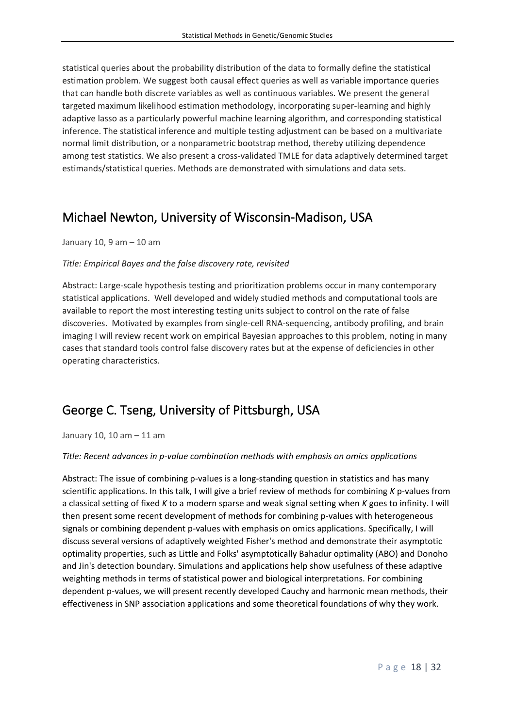statistical queries about the probability distribution of the data to formally define the statistical estimation problem. We suggest both causal effect queries as well as variable importance queries that can handle both discrete variables as well as continuous variables. We present the general targeted maximum likelihood estimation methodology, incorporating super-learning and highly adaptive lasso as a particularly powerful machine learning algorithm, and corresponding statistical inference. The statistical inference and multiple testing adjustment can be based on a multivariate normal limit distribution, or a nonparametric bootstrap method, thereby utilizing dependence among test statistics. We also present a cross-validated TMLE for data adaptively determined target estimands/statistical queries. Methods are demonstrated with simulations and data sets.

### <span id="page-18-0"></span>Michael Newton, University of Wisconsin-Madison, USA

January 10, 9 am – 10 am

#### *Title: Empirical Bayes and the false discovery rate, revisited*

Abstract: Large-scale hypothesis testing and prioritization problems occur in many contemporary statistical applications. Well developed and widely studied methods and computational tools are available to report the most interesting testing units subject to control on the rate of false discoveries. Motivated by examples from single-cell RNA-sequencing, antibody profiling, and brain imaging I will review recent work on empirical Bayesian approaches to this problem, noting in many cases that standard tools control false discovery rates but at the expense of deficiencies in other operating characteristics.

### <span id="page-18-1"></span>George C. Tseng, University of Pittsburgh, USA

January 10, 10 am – 11 am

#### *Title: Recent advances in p-value combination methods with emphasis on omics applications*

Abstract: The issue of combining p-values is a long-standing question in statistics and has many scientific applications. In this talk, I will give a brief review of methods for combining *K* p-values from a classical setting of fixed *K* to a modern sparse and weak signal setting when *K* goes to infinity. I will then present some recent development of methods for combining p-values with heterogeneous signals or combining dependent p-values with emphasis on omics applications. Specifically, I will discuss several versions of adaptively weighted Fisher's method and demonstrate their asymptotic optimality properties, such as Little and Folks' asymptotically Bahadur optimality (ABO) and Donoho and Jin's detection boundary. Simulations and applications help show usefulness of these adaptive weighting methods in terms of statistical power and biological interpretations. For combining dependent p-values, we will present recently developed Cauchy and harmonic mean methods, their effectiveness in SNP association applications and some theoretical foundations of why they work.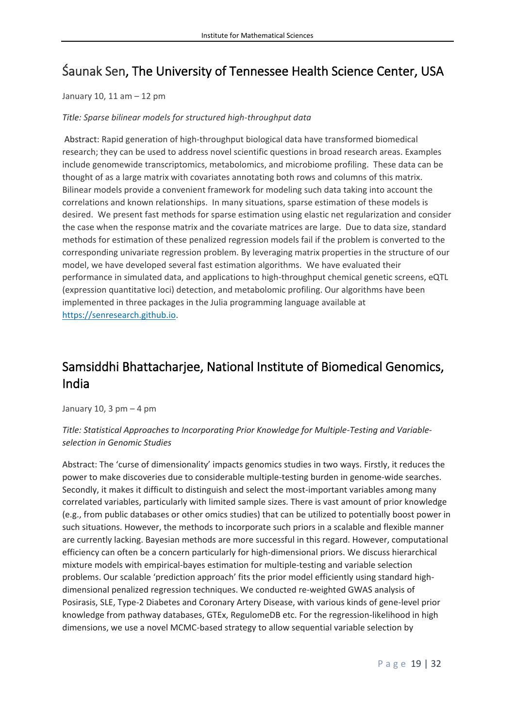# <span id="page-19-0"></span>Śaunak Sen, The University of Tennessee Health Science Center, USA

#### January 10, 11 am – 12 pm

#### *Title: Sparse bilinear models for structured high-throughput data*

Abstract: Rapid generation of high-throughput biological data have transformed biomedical research; they can be used to address novel scientific questions in broad research areas. Examples include genomewide transcriptomics, metabolomics, and microbiome profiling. These data can be thought of as a large matrix with covariates annotating both rows and columns of this matrix. Bilinear models provide a convenient framework for modeling such data taking into account the correlations and known relationships. In many situations, sparse estimation of these models is desired. We present fast methods for sparse estimation using elastic net regularization and consider the case when the response matrix and the covariate matrices are large. Due to data size, standard methods for estimation of these penalized regression models fail if the problem is converted to the corresponding univariate regression problem. By leveraging matrix properties in the structure of our model, we have developed several fast estimation algorithms. We have evaluated their performance in simulated data, and applications to high-throughput chemical genetic screens, eQTL (expression quantitative loci) detection, and metabolomic profiling. Our algorithms have been implemented in three packages in the Julia programming language available at [https://senresearch.github.io.](https://senresearch.github.io/)

## <span id="page-19-1"></span>Samsiddhi Bhattacharjee, National Institute of Biomedical Genomics, India

January 10, 3  $pm - 4$  pm

### *Title: Statistical Approaches to Incorporating Prior Knowledge for Multiple-Testing and Variableselection in Genomic Studies*

Abstract: The 'curse of dimensionality' impacts genomics studies in two ways. Firstly, it reduces the power to make discoveries due to considerable multiple-testing burden in genome-wide searches. Secondly, it makes it difficult to distinguish and select the most-important variables among many correlated variables, particularly with limited sample sizes. There is vast amount of prior knowledge (e.g., from public databases or other omics studies) that can be utilized to potentially boost power in such situations. However, the methods to incorporate such priors in a scalable and flexible manner are currently lacking. Bayesian methods are more successful in this regard. However, computational efficiency can often be a concern particularly for high-dimensional priors. We discuss hierarchical mixture models with empirical-bayes estimation for multiple-testing and variable selection problems. Our scalable 'prediction approach' fits the prior model efficiently using standard highdimensional penalized regression techniques. We conducted re-weighted GWAS analysis of Posirasis, SLE, Type-2 Diabetes and Coronary Artery Disease, with various kinds of gene-level prior knowledge from pathway databases, GTEx, RegulomeDB etc. For the regression-likelihood in high dimensions, we use a novel MCMC-based strategy to allow sequential variable selection by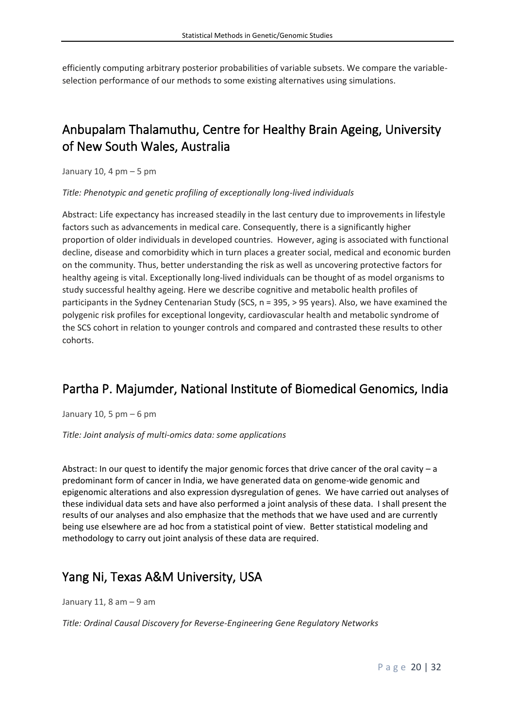efficiently computing arbitrary posterior probabilities of variable subsets. We compare the variableselection performance of our methods to some existing alternatives using simulations.

# <span id="page-20-0"></span>Anbupalam Thalamuthu, Centre for Healthy Brain Ageing, University of New South Wales, Australia

January 10, 4  $pm - 5$  pm

*Title: Phenotypic and genetic profiling of exceptionally long-lived individuals*

Abstract: Life expectancy has increased steadily in the last century due to improvements in lifestyle factors such as advancements in medical care. Consequently, there is a significantly higher proportion of older individuals in developed countries. However, aging is associated with functional decline, disease and comorbidity which in turn places a greater social, medical and economic burden on the community. Thus, better understanding the risk as well as uncovering protective factors for healthy ageing is vital. Exceptionally long-lived individuals can be thought of as model organisms to study successful healthy ageing. Here we describe cognitive and metabolic health profiles of participants in the Sydney Centenarian Study (SCS, n = 395, > 95 years). Also, we have examined the polygenic risk profiles for exceptional longevity, cardiovascular health and metabolic syndrome of the SCS cohort in relation to younger controls and compared and contrasted these results to other cohorts.

### <span id="page-20-1"></span>Partha P. Majumder, National Institute of Biomedical Genomics, India

January 10, 5  $pm - 6$  pm

*Title: Joint analysis of multi-omics data: some applications*

Abstract: In our quest to identify the major genomic forces that drive cancer of the oral cavity – a predominant form of cancer in India, we have generated data on genome-wide genomic and epigenomic alterations and also expression dysregulation of genes. We have carried out analyses of these individual data sets and have also performed a joint analysis of these data. I shall present the results of our analyses and also emphasize that the methods that we have used and are currently being use elsewhere are ad hoc from a statistical point of view. Better statistical modeling and methodology to carry out joint analysis of these data are required.

### <span id="page-20-2"></span>Yang Ni, Texas A&M University, USA

January 11, 8 am – 9 am

*Title: Ordinal Causal Discovery for Reverse-Engineering Gene Regulatory Networks*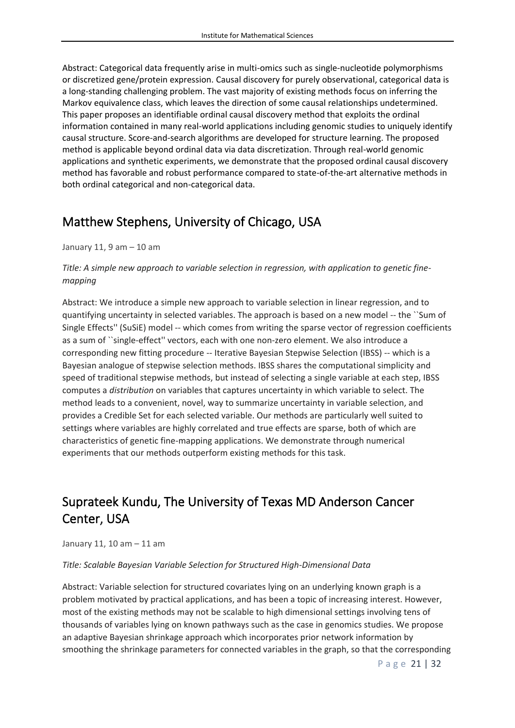Abstract: Categorical data frequently arise in multi-omics such as single-nucleotide polymorphisms or discretized gene/protein expression. Causal discovery for purely observational, categorical data is a long-standing challenging problem. The vast majority of existing methods focus on inferring the Markov equivalence class, which leaves the direction of some causal relationships undetermined. This paper proposes an identifiable ordinal causal discovery method that exploits the ordinal information contained in many real-world applications including genomic studies to uniquely identify causal structure. Score-and-search algorithms are developed for structure learning. The proposed method is applicable beyond ordinal data via data discretization. Through real-world genomic applications and synthetic experiments, we demonstrate that the proposed ordinal causal discovery method has favorable and robust performance compared to state-of-the-art alternative methods in both ordinal categorical and non-categorical data.

### <span id="page-21-0"></span>Matthew Stephens, University of Chicago, USA

January 11, 9 am – 10 am

### *Title: A simple new approach to variable selection in regression, with application to genetic finemapping*

Abstract: We introduce a simple new approach to variable selection in linear regression, and to quantifying uncertainty in selected variables. The approach is based on a new model -- the ``Sum of Single Effects'' (SuSiE) model -- which comes from writing the sparse vector of regression coefficients as a sum of ``single-effect'' vectors, each with one non-zero element. We also introduce a corresponding new fitting procedure -- Iterative Bayesian Stepwise Selection (IBSS) -- which is a Bayesian analogue of stepwise selection methods. IBSS shares the computational simplicity and speed of traditional stepwise methods, but instead of selecting a single variable at each step, IBSS computes a *distribution* on variables that captures uncertainty in which variable to select. The method leads to a convenient, novel, way to summarize uncertainty in variable selection, and provides a Credible Set for each selected variable. Our methods are particularly well suited to settings where variables are highly correlated and true effects are sparse, both of which are characteristics of genetic fine-mapping applications. We demonstrate through numerical experiments that our methods outperform existing methods for this task.

# <span id="page-21-1"></span>Suprateek Kundu, The University of Texas MD Anderson Cancer Center, USA

January 11, 10 am – 11 am

#### *Title: Scalable Bayesian Variable Selection for Structured High-Dimensional Data*

Abstract: Variable selection for structured covariates lying on an underlying known graph is a problem motivated by practical applications, and has been a topic of increasing interest. However, most of the existing methods may not be scalable to high dimensional settings involving tens of thousands of variables lying on known pathways such as the case in genomics studies. We propose an adaptive Bayesian shrinkage approach which incorporates prior network information by smoothing the shrinkage parameters for connected variables in the graph, so that the corresponding

P a g e 21 | 32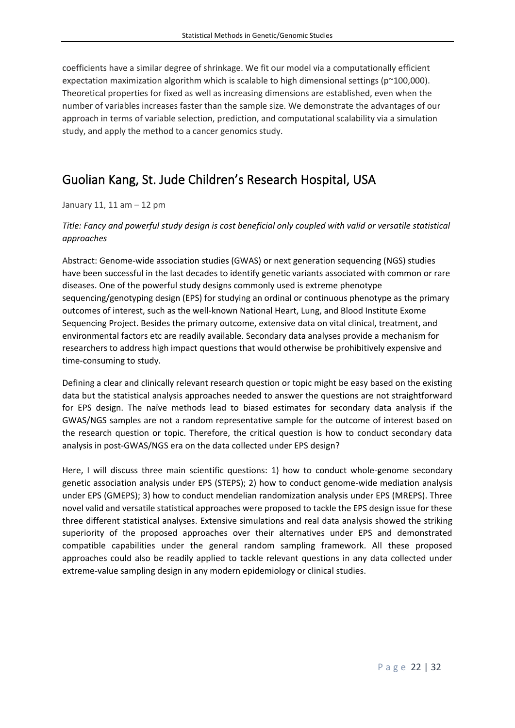coefficients have a similar degree of shrinkage. We fit our model via a computationally efficient expectation maximization algorithm which is scalable to high dimensional settings (p~100,000). Theoretical properties for fixed as well as increasing dimensions are established, even when the number of variables increases faster than the sample size. We demonstrate the advantages of our approach in terms of variable selection, prediction, and computational scalability via a simulation study, and apply the method to a cancer genomics study.

### <span id="page-22-0"></span>Guolian Kang, St. Jude Children's Research Hospital, USA

#### January 11, 11 am – 12 pm

### *Title: Fancy and powerful study design is cost beneficial only coupled with valid or versatile statistical approaches*

Abstract: Genome-wide association studies (GWAS) or next generation sequencing (NGS) studies have been successful in the last decades to identify genetic variants associated with common or rare diseases. One of the powerful study designs commonly used is extreme phenotype sequencing/genotyping design (EPS) for studying an ordinal or continuous phenotype as the primary outcomes of interest, such as the well-known National Heart, Lung, and Blood Institute Exome Sequencing Project. Besides the primary outcome, extensive data on vital clinical, treatment, and environmental factors etc are readily available. Secondary data analyses provide a mechanism for researchers to address high impact questions that would otherwise be prohibitively expensive and time-consuming to study.

Defining a clear and clinically relevant research question or topic might be easy based on the existing data but the statistical analysis approaches needed to answer the questions are not straightforward for EPS design. The naïve methods lead to biased estimates for secondary data analysis if the GWAS/NGS samples are not a random representative sample for the outcome of interest based on the research question or topic. Therefore, the critical question is how to conduct secondary data analysis in post-GWAS/NGS era on the data collected under EPS design?

Here, I will discuss three main scientific questions: 1) how to conduct whole-genome secondary genetic association analysis under EPS (STEPS); 2) how to conduct genome-wide mediation analysis under EPS (GMEPS); 3) how to conduct mendelian randomization analysis under EPS (MREPS). Three novel valid and versatile statistical approaches were proposed to tackle the EPS design issue for these three different statistical analyses. Extensive simulations and real data analysis showed the striking superiority of the proposed approaches over their alternatives under EPS and demonstrated compatible capabilities under the general random sampling framework. All these proposed approaches could also be readily applied to tackle relevant questions in any data collected under extreme-value sampling design in any modern epidemiology or clinical studies.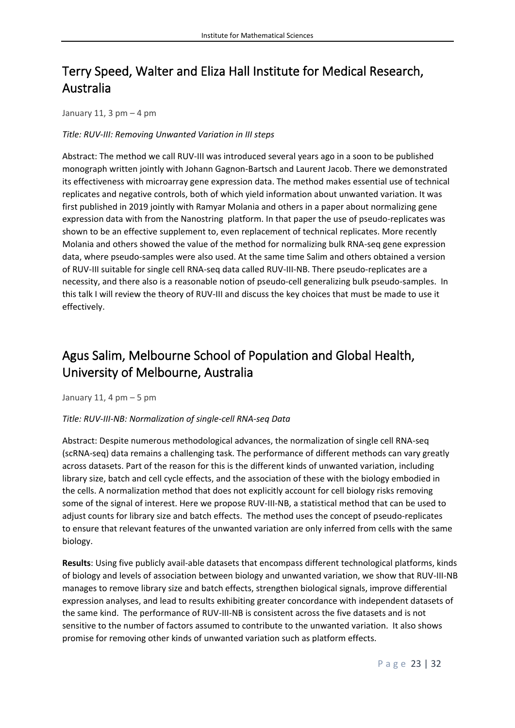# <span id="page-23-0"></span>Terry Speed, Walter and Eliza Hall Institute for Medical Research, Australia

January 11, 3  $pm - 4$  pm

### *Title: RUV-III: Removing Unwanted Variation in III steps*

Abstract: The method we call RUV-III was introduced several years ago in a soon to be published monograph written jointly with Johann Gagnon-Bartsch and Laurent Jacob. There we demonstrated its effectiveness with microarray gene expression data. The method makes essential use of technical replicates and negative controls, both of which yield information about unwanted variation. It was first published in 2019 jointly with Ramyar Molania and others in a paper about normalizing gene expression data with from the Nanostring platform. In that paper the use of pseudo-replicates was shown to be an effective supplement to, even replacement of technical replicates. More recently Molania and others showed the value of the method for normalizing bulk RNA-seq gene expression data, where pseudo-samples were also used. At the same time Salim and others obtained a version of RUV-III suitable for single cell RNA-seq data called RUV-III-NB. There pseudo-replicates are a necessity, and there also is a reasonable notion of pseudo-cell generalizing bulk pseudo-samples. In this talk I will review the theory of RUV-III and discuss the key choices that must be made to use it effectively.

# <span id="page-23-1"></span>Agus Salim, Melbourne School of Population and Global Health, University of Melbourne, Australia

January 11, 4  $pm - 5$  pm

### *Title: RUV-III-NB: Normalization of single-cell RNA-seq Data*

Abstract: Despite numerous methodological advances, the normalization of single cell RNA-seq (scRNA-seq) data remains a challenging task. The performance of different methods can vary greatly across datasets. Part of the reason for this is the different kinds of unwanted variation, including library size, batch and cell cycle effects, and the association of these with the biology embodied in the cells. A normalization method that does not explicitly account for cell biology risks removing some of the signal of interest. Here we propose RUV-III-NB, a statistical method that can be used to adjust counts for library size and batch effects. The method uses the concept of pseudo-replicates to ensure that relevant features of the unwanted variation are only inferred from cells with the same biology.

**Results**: Using five publicly avail-able datasets that encompass different technological platforms, kinds of biology and levels of association between biology and unwanted variation, we show that RUV-III-NB manages to remove library size and batch effects, strengthen biological signals, improve differential expression analyses, and lead to results exhibiting greater concordance with independent datasets of the same kind. The performance of RUV-III-NB is consistent across the five datasets and is not sensitive to the number of factors assumed to contribute to the unwanted variation. It also shows promise for removing other kinds of unwanted variation such as platform effects.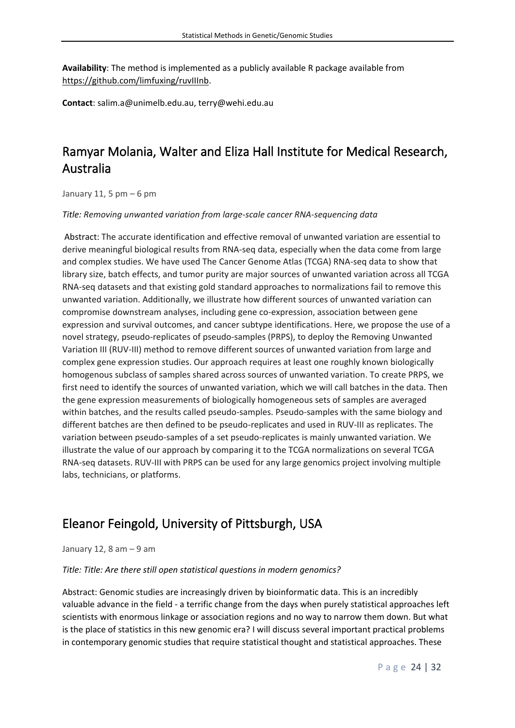**Availability**: The method is implemented as a publicly available R package available from https://github.com/limfuxing/ruvIIInb.

**Contact**: salim.a@unimelb.edu.au, terry@wehi.edu.au

# <span id="page-24-0"></span>Ramyar Molania, Walter and Eliza Hall Institute for Medical Research, Australia

January 11, 5 pm – 6 pm

*Title: Removing unwanted variation from large-scale cancer RNA-sequencing data*

Abstract: The accurate identification and effective removal of unwanted variation are essential to derive meaningful biological results from RNA-seq data, especially when the data come from large and complex studies. We have used The Cancer Genome Atlas (TCGA) RNA-seq data to show that library size, batch effects, and tumor purity are major sources of unwanted variation across all TCGA RNA-seq datasets and that existing gold standard approaches to normalizations fail to remove this unwanted variation. Additionally, we illustrate how different sources of unwanted variation can compromise downstream analyses, including gene co-expression, association between gene expression and survival outcomes, and cancer subtype identifications. Here, we propose the use of a novel strategy, pseudo-replicates of pseudo-samples (PRPS), to deploy the Removing Unwanted Variation III (RUV-III) method to remove different sources of unwanted variation from large and complex gene expression studies. Our approach requires at least one roughly known biologically homogenous subclass of samples shared across sources of unwanted variation. To create PRPS, we first need to identify the sources of unwanted variation, which we will call batches in the data. Then the gene expression measurements of biologically homogeneous sets of samples are averaged within batches, and the results called pseudo-samples. Pseudo-samples with the same biology and different batches are then defined to be pseudo-replicates and used in RUV-III as replicates. The variation between pseudo-samples of a set pseudo-replicates is mainly unwanted variation. We illustrate the value of our approach by comparing it to the TCGA normalizations on several TCGA RNA-seq datasets. RUV-III with PRPS can be used for any large genomics project involving multiple labs, technicians, or platforms.

# <span id="page-24-1"></span>Eleanor Feingold, University of Pittsburgh, USA

January 12, 8 am – 9 am

*Title: Title: Are there still open statistical questions in modern genomics?*

Abstract: Genomic studies are increasingly driven by bioinformatic data. This is an incredibly valuable advance in the field - a terrific change from the days when purely statistical approaches left scientists with enormous linkage or association regions and no way to narrow them down. But what is the place of statistics in this new genomic era? I will discuss several important practical problems in contemporary genomic studies that require statistical thought and statistical approaches. These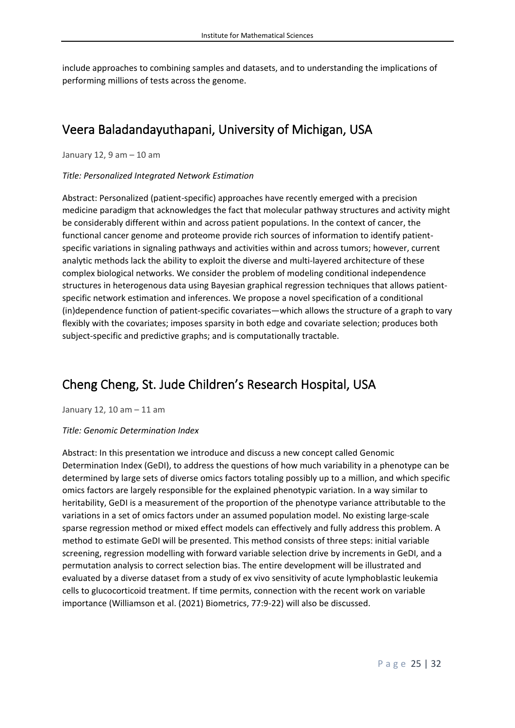include approaches to combining samples and datasets, and to understanding the implications of performing millions of tests across the genome.

### <span id="page-25-0"></span>Veera Baladandayuthapani, University of Michigan, USA

January 12, 9 am – 10 am

#### *Title: Personalized Integrated Network Estimation*

Abstract: Personalized (patient-specific) approaches have recently emerged with a precision medicine paradigm that acknowledges the fact that molecular pathway structures and activity might be considerably different within and across patient populations. In the context of cancer, the functional cancer genome and proteome provide rich sources of information to identify patientspecific variations in signaling pathways and activities within and across tumors; however, current analytic methods lack the ability to exploit the diverse and multi-layered architecture of these complex biological networks. We consider the problem of modeling conditional independence structures in heterogenous data using Bayesian graphical regression techniques that allows patientspecific network estimation and inferences. We propose a novel specification of a conditional (in)dependence function of patient-specific covariates—which allows the structure of a graph to vary flexibly with the covariates; imposes sparsity in both edge and covariate selection; produces both subject-specific and predictive graphs; and is computationally tractable.

### <span id="page-25-1"></span>Cheng Cheng, St. Jude Children's Research Hospital, USA

January 12, 10 am – 11 am

#### *Title: Genomic Determination Index*

Abstract: In this presentation we introduce and discuss a new concept called Genomic Determination Index (GeDI), to address the questions of how much variability in a phenotype can be determined by large sets of diverse omics factors totaling possibly up to a million, and which specific omics factors are largely responsible for the explained phenotypic variation. In a way similar to heritability, GeDI is a measurement of the proportion of the phenotype variance attributable to the variations in a set of omics factors under an assumed population model. No existing large-scale sparse regression method or mixed effect models can effectively and fully address this problem. A method to estimate GeDI will be presented. This method consists of three steps: initial variable screening, regression modelling with forward variable selection drive by increments in GeDI, and a permutation analysis to correct selection bias. The entire development will be illustrated and evaluated by a diverse dataset from a study of ex vivo sensitivity of acute lymphoblastic leukemia cells to glucocorticoid treatment. If time permits, connection with the recent work on variable importance (Williamson et al. (2021) Biometrics, 77:9-22) will also be discussed.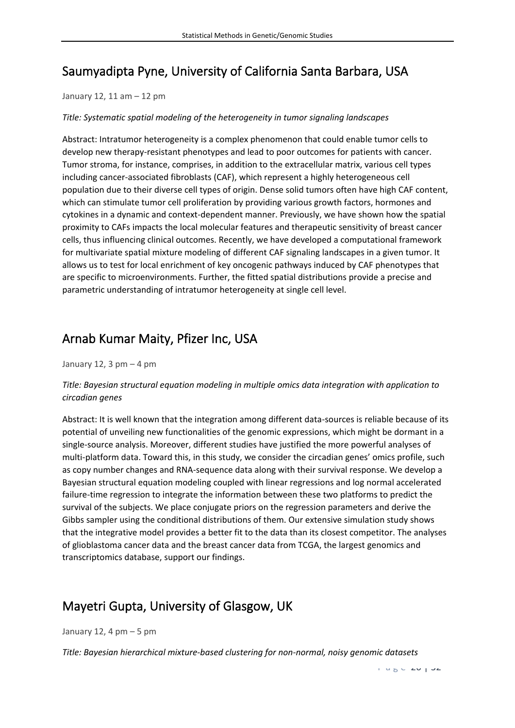## <span id="page-26-0"></span>Saumyadipta Pyne, University of California Santa Barbara, USA

#### January 12, 11 am – 12 pm

#### *Title: Systematic spatial modeling of the heterogeneity in tumor signaling landscapes*

Abstract: Intratumor heterogeneity is a complex phenomenon that could enable tumor cells to develop new therapy-resistant phenotypes and lead to poor outcomes for patients with cancer. Tumor stroma, for instance, comprises, in addition to the extracellular matrix, various cell types including cancer-associated fibroblasts (CAF), which represent a highly heterogeneous cell population due to their diverse cell types of origin. Dense solid tumors often have high CAF content, which can stimulate tumor cell proliferation by providing various growth factors, hormones and cytokines in a dynamic and context-dependent manner. Previously, we have shown how the spatial proximity to CAFs impacts the local molecular features and therapeutic sensitivity of breast cancer cells, thus influencing clinical outcomes. Recently, we have developed a computational framework for multivariate spatial mixture modeling of different CAF signaling landscapes in a given tumor. It allows us to test for local enrichment of key oncogenic pathways induced by CAF phenotypes that are specific to microenvironments. Further, the fitted spatial distributions provide a precise and parametric understanding of intratumor heterogeneity at single cell level.

### <span id="page-26-1"></span>Arnab Kumar Maity, Pfizer Inc, USA

January 12, 3  $pm - 4$  pm

### *Title: Bayesian structural equation modeling in multiple omics data integration with application to circadian genes*

Abstract: It is well known that the integration among different data-sources is reliable because of its potential of unveiling new functionalities of the genomic expressions, which might be dormant in a single-source analysis. Moreover, different studies have justified the more powerful analyses of multi-platform data. Toward this, in this study, we consider the circadian genes' omics profile, such as copy number changes and RNA-sequence data along with their survival response. We develop a Bayesian structural equation modeling coupled with linear regressions and log normal accelerated failure-time regression to integrate the information between these two platforms to predict the survival of the subjects. We place conjugate priors on the regression parameters and derive the Gibbs sampler using the conditional distributions of them. Our extensive simulation study shows that the integrative model provides a better fit to the data than its closest competitor. The analyses of glioblastoma cancer data and the breast cancer data from TCGA, the largest genomics and transcriptomics database, support our findings.

### <span id="page-26-2"></span>Mayetri Gupta, University of Glasgow, UK

January 12, 4 pm – 5 pm

*Title: Bayesian hierarchical mixture-based clustering for non-normal, noisy genomic datasets*

 $P = 260$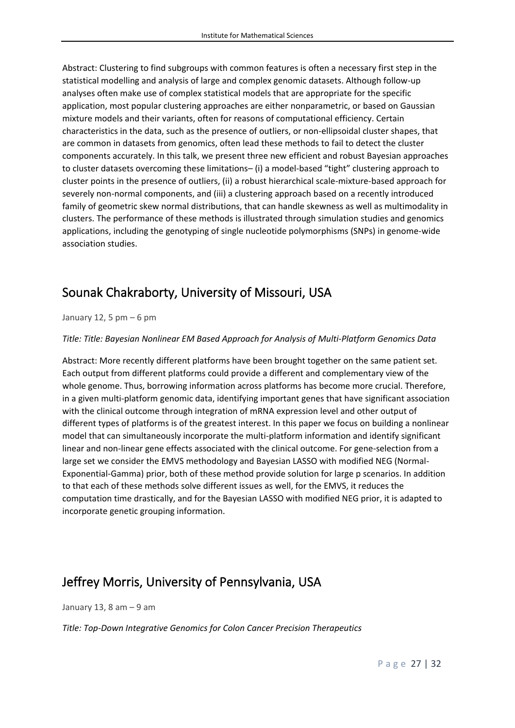Abstract: Clustering to find subgroups with common features is often a necessary first step in the statistical modelling and analysis of large and complex genomic datasets. Although follow-up analyses often make use of complex statistical models that are appropriate for the specific application, most popular clustering approaches are either nonparametric, or based on Gaussian mixture models and their variants, often for reasons of computational efficiency. Certain characteristics in the data, such as the presence of outliers, or non-ellipsoidal cluster shapes, that are common in datasets from genomics, often lead these methods to fail to detect the cluster components accurately. In this talk, we present three new efficient and robust Bayesian approaches to cluster datasets overcoming these limitations– (i) a model-based "tight" clustering approach to cluster points in the presence of outliers, (ii) a robust hierarchical scale-mixture-based approach for severely non-normal components, and (iii) a clustering approach based on a recently introduced family of geometric skew normal distributions, that can handle skewness as well as multimodality in clusters. The performance of these methods is illustrated through simulation studies and genomics applications, including the genotyping of single nucleotide polymorphisms (SNPs) in genome-wide association studies.

# <span id="page-27-0"></span>Sounak Chakraborty, University of Missouri, USA

January 12, 5  $pm - 6$  pm

*Title: Title: Bayesian Nonlinear EM Based Approach for Analysis of Multi-Platform Genomics Data*

Abstract: More recently different platforms have been brought together on the same patient set. Each output from different platforms could provide a different and complementary view of the whole genome. Thus, borrowing information across platforms has become more crucial. Therefore, in a given multi-platform genomic data, identifying important genes that have significant association with the clinical outcome through integration of mRNA expression level and other output of different types of platforms is of the greatest interest. In this paper we focus on building a nonlinear model that can simultaneously incorporate the multi-platform information and identify significant linear and non-linear gene effects associated with the clinical outcome. For gene-selection from a large set we consider the EMVS methodology and Bayesian LASSO with modified NEG (Normal-Exponential-Gamma) prior, both of these method provide solution for large p scenarios. In addition to that each of these methods solve different issues as well, for the EMVS, it reduces the computation time drastically, and for the Bayesian LASSO with modified NEG prior, it is adapted to incorporate genetic grouping information.

### <span id="page-27-1"></span>Jeffrey Morris, University of Pennsylvania, USA

January 13, 8 am – 9 am

*Title: Top-Down Integrative Genomics for Colon Cancer Precision Therapeutics*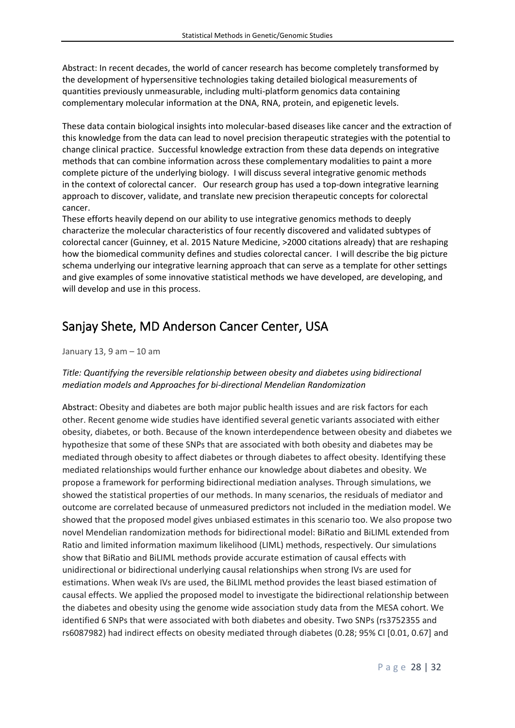Abstract: In recent decades, the world of cancer research has become completely transformed by the development of hypersensitive technologies taking detailed biological measurements of quantities previously unmeasurable, including multi-platform genomics data containing complementary molecular information at the DNA, RNA, protein, and epigenetic levels.

These data contain biological insights into molecular-based diseases like cancer and the extraction of this knowledge from the data can lead to novel precision therapeutic strategies with the potential to change clinical practice. Successful knowledge extraction from these data depends on integrative methods that can combine information across these complementary modalities to paint a more complete picture of the underlying biology. I will discuss several integrative genomic methods in the context of colorectal cancer. Our research group has used a top-down integrative learning approach to discover, validate, and translate new precision therapeutic concepts for colorectal cancer.

These efforts heavily depend on our ability to use integrative genomics methods to deeply characterize the molecular characteristics of four recently discovered and validated subtypes of colorectal cancer (Guinney, et al. 2015 Nature Medicine, >2000 citations already) that are reshaping how the biomedical community defines and studies colorectal cancer. I will describe the big picture schema underlying our integrative learning approach that can serve as a template for other settings and give examples of some innovative statistical methods we have developed, are developing, and will develop and use in this process.

### <span id="page-28-0"></span>Sanjay Shete, MD Anderson Cancer Center, USA

January 13, 9 am – 10 am

### *Title: Quantifying the reversible relationship between obesity and diabetes using bidirectional mediation models and Approaches for bi-directional Mendelian Randomization*

Abstract: Obesity and diabetes are both major public health issues and are risk factors for each other. Recent genome wide studies have identified several genetic variants associated with either obesity, diabetes, or both. Because of the known interdependence between obesity and diabetes we hypothesize that some of these SNPs that are associated with both obesity and diabetes may be mediated through obesity to affect diabetes or through diabetes to affect obesity. Identifying these mediated relationships would further enhance our knowledge about diabetes and obesity. We propose a framework for performing bidirectional mediation analyses. Through simulations, we showed the statistical properties of our methods. In many scenarios, the residuals of mediator and outcome are correlated because of unmeasured predictors not included in the mediation model. We showed that the proposed model gives unbiased estimates in this scenario too. We also propose two novel Mendelian randomization methods for bidirectional model: BiRatio and BiLIML extended from Ratio and limited information maximum likelihood (LIML) methods, respectively. Our simulations show that BiRatio and BiLIML methods provide accurate estimation of causal effects with unidirectional or bidirectional underlying causal relationships when strong IVs are used for estimations. When weak IVs are used, the BiLIML method provides the least biased estimation of causal effects. We applied the proposed model to investigate the bidirectional relationship between the diabetes and obesity using the genome wide association study data from the MESA cohort. We identified 6 SNPs that were associated with both diabetes and obesity. Two SNPs (rs3752355 and rs6087982) had indirect effects on obesity mediated through diabetes (0.28; 95% CI [0.01, 0.67] and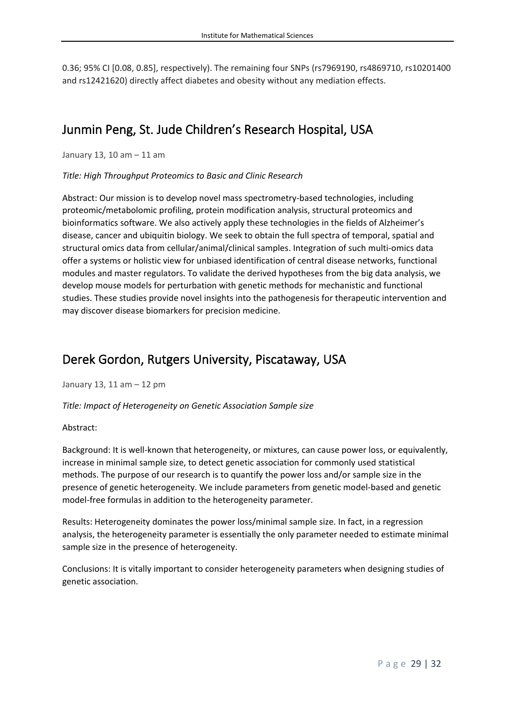0.36; 95% CI [0.08, 0.85], respectively). The remaining four SNPs (rs7969190, rs4869710, rs10201400 and rs12421620) directly affect diabetes and obesity without any mediation effects.

### <span id="page-29-0"></span>Junmin Peng, St. Jude Children's Research Hospital, USA

January 13, 10 am – 11 am

*Title: High Throughput Proteomics to Basic and Clinic Research*

Abstract: Our mission is to develop novel mass spectrometry-based technologies, including proteomic/metabolomic profiling, protein modification analysis, structural proteomics and bioinformatics software. We also actively apply these technologies in the fields of Alzheimer's disease, cancer and ubiquitin biology. We seek to obtain the full spectra of temporal, spatial and structural omics data from cellular/animal/clinical samples. Integration of such multi-omics data offer a systems or holistic view for unbiased identification of central disease networks, functional modules and master regulators. To validate the derived hypotheses from the big data analysis, we develop mouse models for perturbation with genetic methods for mechanistic and functional studies. These studies provide novel insights into the pathogenesis for therapeutic intervention and may discover disease biomarkers for precision medicine.

### <span id="page-29-1"></span>Derek Gordon, Rutgers University, Piscataway, USA

January 13, 11 am – 12 pm

*Title: Impact of Heterogeneity on Genetic Association Sample size*

#### Abstract:

Background: It is well-known that heterogeneity, or mixtures, can cause power loss, or equivalently, increase in minimal sample size, to detect genetic association for commonly used statistical methods. The purpose of our research is to quantify the power loss and/or sample size in the presence of genetic heterogeneity. We include parameters from genetic model-based and genetic model-free formulas in addition to the heterogeneity parameter.

Results: Heterogeneity dominates the power loss/minimal sample size. In fact, in a regression analysis, the heterogeneity parameter is essentially the only parameter needed to estimate minimal sample size in the presence of heterogeneity.

Conclusions: It is vitally important to consider heterogeneity parameters when designing studies of genetic association.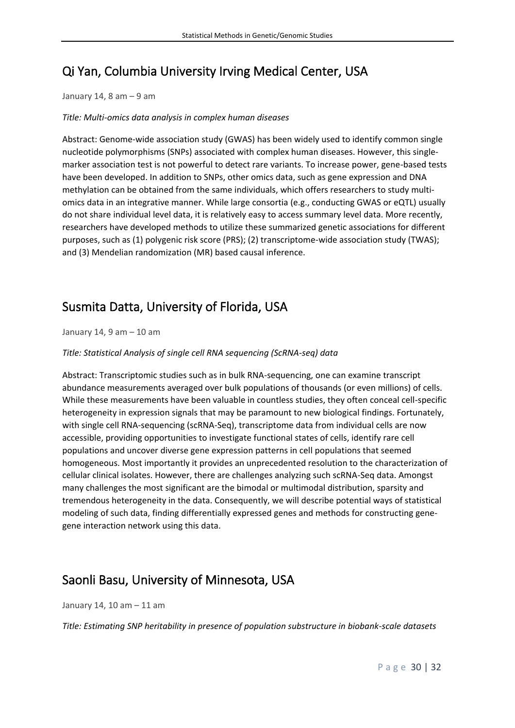# <span id="page-30-0"></span>Qi Yan, Columbia University Irving Medical Center, USA

January 14, 8 am  $-9$  am

### *Title: Multi-omics data analysis in complex human diseases*

Abstract: Genome-wide association study (GWAS) has been widely used to identify common single nucleotide polymorphisms (SNPs) associated with complex human diseases. However, this singlemarker association test is not powerful to detect rare variants. To increase power, gene-based tests have been developed. In addition to SNPs, other omics data, such as gene expression and DNA methylation can be obtained from the same individuals, which offers researchers to study multiomics data in an integrative manner. While large consortia (e.g., conducting GWAS or eQTL) usually do not share individual level data, it is relatively easy to access summary level data. More recently, researchers have developed methods to utilize these summarized genetic associations for different purposes, such as (1) polygenic risk score (PRS); (2) transcriptome-wide association study (TWAS); and (3) Mendelian randomization (MR) based causal inference.

### <span id="page-30-1"></span>Susmita Datta, University of Florida, USA

January 14, 9 am – 10 am

### *Title: Statistical Analysis of single cell RNA sequencing (ScRNA-seq) data*

Abstract: Transcriptomic studies such as in bulk RNA-sequencing, one can examine transcript abundance measurements averaged over bulk populations of thousands (or even millions) of cells. While these measurements have been valuable in countless studies, they often conceal cell-specific heterogeneity in expression signals that may be paramount to new biological findings. Fortunately, with single cell RNA-sequencing (scRNA-Seq), transcriptome data from individual cells are now accessible, providing opportunities to investigate functional states of cells, identify rare cell populations and uncover diverse gene expression patterns in cell populations that seemed homogeneous. Most importantly it provides an unprecedented resolution to the characterization of cellular clinical isolates. However, there are challenges analyzing such scRNA-Seq data. Amongst many challenges the most significant are the bimodal or multimodal distribution, sparsity and tremendous heterogeneity in the data. Consequently, we will describe potential ways of statistical modeling of such data, finding differentially expressed genes and methods for constructing genegene interaction network using this data.

### <span id="page-30-2"></span>Saonli Basu, University of Minnesota, USA

January 14, 10 am – 11 am

*Title: Estimating SNP heritability in presence of population substructure in biobank-scale datasets*